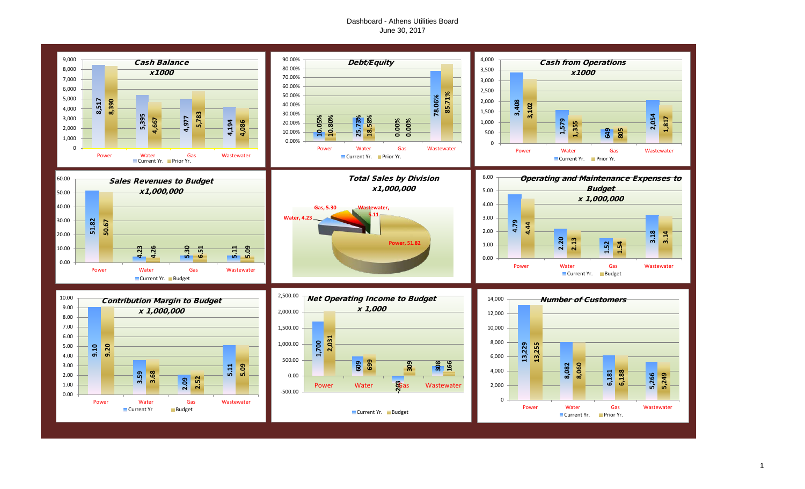## Dashboard - Athens Utilities Board June 30, 2017

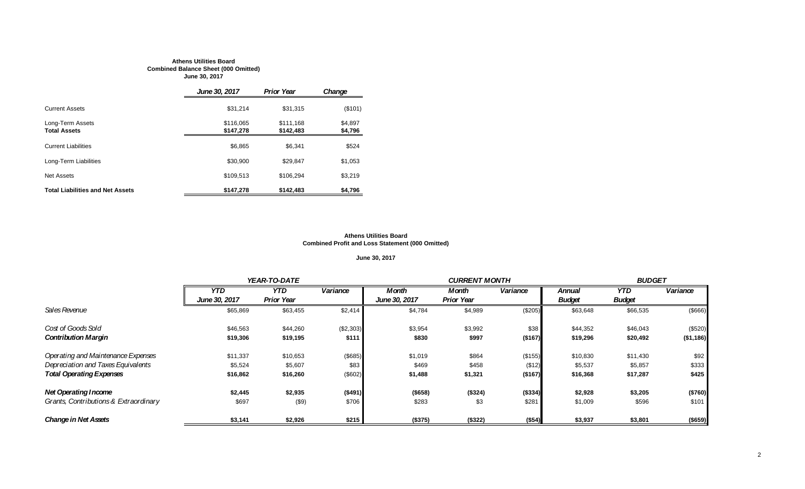#### **Athens Utilities Board Combined Balance Sheet (000 Omitted) June 30, 2017**

|                                         | June 30, 2017          | <b>Prior Year</b>      | Change             |
|-----------------------------------------|------------------------|------------------------|--------------------|
| <b>Current Assets</b>                   | \$31,214               | \$31.315               | (\$101)            |
| Long-Term Assets<br><b>Total Assets</b> | \$116,065<br>\$147.278 | \$111.168<br>\$142,483 | \$4,897<br>\$4,796 |
| <b>Current Liabilities</b>              | \$6,865                | \$6,341                | \$524              |
| Long-Term Liabilities                   | \$30.900               | \$29.847               | \$1,053            |
| <b>Net Assets</b>                       | \$109,513              | \$106.294              | \$3,219            |
| <b>Total Liabilities and Net Assets</b> | \$147,278              | \$142,483              | \$4,796            |

#### **Athens Utilities Board Combined Profit and Loss Statement (000 Omitted)**

## **June 30, 2017**

|                                       |               | YEAR-TO-DATE      |           |               | <b>CURRENT MONTH</b> |          |               | <b>BUDGET</b> |            |  |
|---------------------------------------|---------------|-------------------|-----------|---------------|----------------------|----------|---------------|---------------|------------|--|
|                                       | <b>YTD</b>    | <b>YTD</b>        | Variance  | <b>Month</b>  | Month                | Variance | Annual        | <b>YTD</b>    | Variance   |  |
|                                       | June 30, 2017 | <b>Prior Year</b> |           | June 30, 2017 | <b>Prior Year</b>    |          | <b>Budget</b> | <b>Budget</b> |            |  |
| Sales Revenue                         | \$65,869      | \$63,455          | \$2,414   | \$4,784       | \$4,989              | (\$205)  | \$63,648      | \$66,535      | (\$666)    |  |
| Cost of Goods Sold                    | \$46,563      | \$44,260          | (\$2,303) | \$3,954       | \$3,992              | \$38     | \$44,352      | \$46,043      | (\$520)    |  |
| <b>Contribution Margin</b>            | \$19,306      | \$19,195          | \$111     | \$830         | \$997                | ( \$167) | \$19,296      | \$20,492      | ( \$1,186) |  |
| Operating and Maintenance Expenses    | \$11,337      | \$10,653          | (\$685)   | \$1,019       | \$864                | (\$155)  | \$10,830      | \$11,430      | \$92       |  |
| Depreciation and Taxes Equivalents    | \$5,524       | \$5,607           | \$83      | \$469         | \$458                | (\$12)   | \$5,537       | \$5,857       | \$333      |  |
| <b>Total Operating Expenses</b>       | \$16,862      | \$16,260          | (\$602)   | \$1,488       | \$1,321              | (\$167)  | \$16,368      | \$17,287      | \$425      |  |
| <b>Net Operating Income</b>           | \$2,445       | \$2,935           | ( \$491)  | $($ \$658)    | (\$324)              | (\$334)  | \$2,928       | \$3,205       | (\$760)    |  |
| Grants, Contributions & Extraordinary | \$697         | (\$9)             | \$706     | \$283         | \$3                  | \$281    | \$1,009       | \$596         | \$101      |  |
| <b>Change in Net Assets</b>           | \$3,141       | \$2,926           | \$215     | (\$375)       | (\$322)              | (\$54)   | \$3,937       | \$3,801       | (\$659)    |  |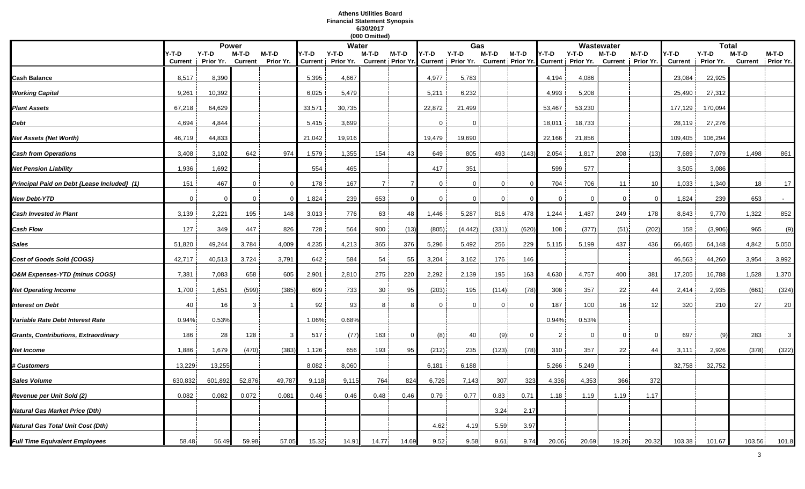#### **Athens Utilities Board Financial Statement Synopsis 6/30/2017 (000 Omitted)**

|                                             |                |              |                |           |        |                              | (000 Omitted)  |          |                |                                                                                    |             |                |                |          |                   |          |                |                      |                |                    |
|---------------------------------------------|----------------|--------------|----------------|-----------|--------|------------------------------|----------------|----------|----------------|------------------------------------------------------------------------------------|-------------|----------------|----------------|----------|-------------------|----------|----------------|----------------------|----------------|--------------------|
|                                             |                | <b>Power</b> |                |           |        | Water                        |                |          |                | Gas                                                                                |             |                |                |          | Wastewater        |          |                | <b>Total</b>         |                |                    |
|                                             | Y-T-D          | $Y-T-D$      | M-T-D          | M-T-D     | Y-T-D  | $Y-T-D$<br>Current Prior Yr. | M-T-D          | M-T-D    | Y-T-D          | $Y-T-D$<br>Current Prior Yr. Current Prior Yr. Current Prior Yr. Current Prior Yr. | M-T-D       | M-T-D          | Y-T-D          | $Y-T-D$  | M-T-D             | M-T-D    | /-T-D          | $Y-T-D$<br>Prior Yr. | M-T-D          | M-T-D<br>Prior Yr. |
|                                             | <b>Current</b> | Prior Yr.    | <b>Current</b> | Prior Yr. |        |                              |                |          |                |                                                                                    |             |                |                |          | Current Prior Yr. |          | <b>Current</b> |                      | <b>Current</b> |                    |
| Cash Balance                                | 8,517          | 8,390        |                |           | 5,395  | 4,667                        |                |          | 4,977          | 5,783                                                                              |             |                | 4,194          | 4,086    |                   |          | 23,084         | 22,925               |                |                    |
| <b>Working Capital</b>                      | 9,261          | 10,392       |                |           | 6,025  | 5,479                        |                |          | 5,211          | 6,232                                                                              |             |                | 4,993          | 5,208    |                   |          | 25,490         | 27,312               |                |                    |
| <b>Plant Assets</b>                         | 67,218         | 64,629       |                |           | 33,571 | 30,735                       |                |          | 22,872         | 21,499                                                                             |             |                | 53,467         | 53,230   |                   |          | 177,129        | 170,094              |                |                    |
| Debt                                        | 4,694          | 4,844        |                |           | 5,415  | 3,699                        |                |          | $\mathbf{0}$   | $\Omega$                                                                           |             |                | 18,011         | 18,733   |                   |          | 28,119         | 27,276               |                |                    |
| Net Assets (Net Worth)                      | 46,719         | 44,833       |                |           | 21,042 | 19,916                       |                |          | 19,479         | 19,690                                                                             |             |                | 22,166         | 21,856   |                   |          | 109,405        | 106,294              |                |                    |
| <b>Cash from Operations</b>                 | 3,408          | 3,102        | 642            | 974       | 1,579  | 1,355                        | 154            | 43       | 649            | 805                                                                                | 493         | (143)          | 2,054          | 1,817    | 208               | (13)     | 7,689          | 7,079                | 1,498          | 861                |
| <b>Net Pension Liability</b>                | 1,936          | 1,692        |                |           | 554    | 465                          |                |          | 417            | 351                                                                                |             |                | 599            | 577      |                   |          | 3,505          | 3,086                |                |                    |
| Principal Paid on Debt {Lease Included} (1) | 151            | 467          | $\overline{0}$ | $\Omega$  | 178    | 167                          | 7 <sup>1</sup> |          | $\overline{0}$ | $\Omega$                                                                           | $\mathbf 0$ | $\overline{0}$ | 704            | 706      | 11                | 10       | 1,033          | 1,340                | 18             | 17                 |
| <b>New Debt-YTD</b>                         | $\overline{0}$ | $\mathbf 0$  | $\mathbf 0$    | - 0       | 1,824  | 239                          | 653            | $\Omega$ | $\mathbf{0}$   | $\mathbf{0}$                                                                       | $\mathbf 0$ | $\Omega$       | $\mathbf 0$    | $\Omega$ | $\overline{0}$    | $\Omega$ | 1,824          | 239                  | 653            | $\sim$             |
| <b>Cash Invested in Plant</b>               | 3,139          | 2,221        | 195            | 148       | 3,013  | 776                          | 63             | 48       | 1,446          | 5,287                                                                              | 816         | 478            | 1,244          | 1,487    | 249               | 178      | 8,843          | 9,770                | 1,322          | 852                |
| <b>Cash Flow</b>                            | 127            | 349          | 447            | 826       | 728    | 564                          | 900            | (13)     | (805)          | (4, 442)                                                                           | (331)       | (620)          | 108            | (377)    | (51)              | (202)    | 158            | (3,906)              | 965            | (9)                |
| Sales                                       | 51,820         | 49,244       | 3,784          | 4,009     | 4,235  | 4,213                        | 365            | 376      | 5,296          | 5,492                                                                              | 256         | 229            | 5,115          | 5,199    | 437               | 436      | 66,465         | 64,148               | 4,842          | 5,050              |
| Cost of Goods Sold {COGS}                   | 42,717         | 40,513       | 3,724          | 3,791     | 642    | 584                          | 54             | 55       | 3,204          | 3,162                                                                              | 176         | 146            |                |          |                   |          | 46,563         | 44,260               | 3,954          | 3,992              |
| O&M Expenses-YTD {minus COGS}               | 7,381          | 7,083        | 658            | 605       | 2,901  | 2,810                        | 275            | 220      | 2,292          | 2,139                                                                              | 195         | 163            | 4,630          | 4,757    | 400               | 381      | 17,205         | 16,788               | 1,528          | 1,370              |
| <b>Net Operating Income</b>                 | 1,700          | 1,651        | (599)          | (385)     | 609    | 733                          | 30             | 95       | (203)          | 195                                                                                | (114)       | (78)           | 308            | 357      | 22                | 44       | 2,414          | 2,935                | (661)          | (324)              |
| <b>Interest on Debt</b>                     | 40             | 16           | 3              |           | 92     | 93                           | 8              |          | 0              | $\Omega$                                                                           | $\mathbf 0$ | $\Omega$       | 187            | 100      | 16                | 12       | 320            | 210                  | 27             | 20                 |
| Variable Rate Debt Interest Rate            | 0.94%          | 0.53%        |                |           | 1.06%  | 0.68%                        |                |          |                |                                                                                    |             |                | 0.94%          | 0.53%    |                   |          |                |                      |                |                    |
| Grants, Contributions, Extraordinary        | 186            | 28           | 128            | -3        | 517    | (77)                         | 163            | $\Omega$ | (8)            | 40                                                                                 | (9)         | $\overline{0}$ | $\overline{2}$ | $\Omega$ | $\overline{0}$    | $\Omega$ | 697            | (9)                  | 283            | 3                  |
| Net Income                                  | 1,886          | 1,679        | (470)          | (383)     | 1,126  | 656                          | 193            | 95       | (212)          | 235                                                                                | (123)       | (78)           | 310            | 357      | 22                | 44       | 3,111          | 2,926                | (378)          | (322)              |
| <b># Customers</b>                          | 13,229         | 13,255       |                |           | 8,082  | 8,060                        |                |          | 6,181          | 6,188                                                                              |             |                | 5,266          | 5,249    |                   |          | 32,758         | 32,752               |                |                    |
| Sales Volume                                | 630,832        | 601,892      | 52,876         | 49,787    | 9,118  | 9,115                        | 764            | 824      | 6,726          | 7,143                                                                              | 307         | 323            | 4,336          | 4,353    | 366               | 372      |                |                      |                |                    |
| Revenue per Unit Sold (2)                   | 0.082          | 0.082        | 0.072          | 0.081     | 0.46   | 0.46                         | 0.48           | 0.46     | 0.79           | 0.77                                                                               | 0.83        | 0.71           | 1.18           | 1.19     | 1.19              | 1.17     |                |                      |                |                    |
| Natural Gas Market Price (Dth)              |                |              |                |           |        |                              |                |          |                |                                                                                    | 3.24        | 2.17           |                |          |                   |          |                |                      |                |                    |
| <b>Natural Gas Total Unit Cost (Dth)</b>    |                |              |                |           |        |                              |                |          | 4.62           | 4.19                                                                               | 5.59        | 3.97           |                |          |                   |          |                |                      |                |                    |
| <b>Full Time Equivalent Employees</b>       | 58.48          | 56.49        | 59.98          | 57.05     | 15.32  | 14.91                        | 14.77          | 14.69    | 9.52           | 9.58                                                                               | 9.61        | 9.74           | 20.06          | 20.69    | 19.20             | 20.32    | 103.38         | 101.67               | 103.56         | 101.8              |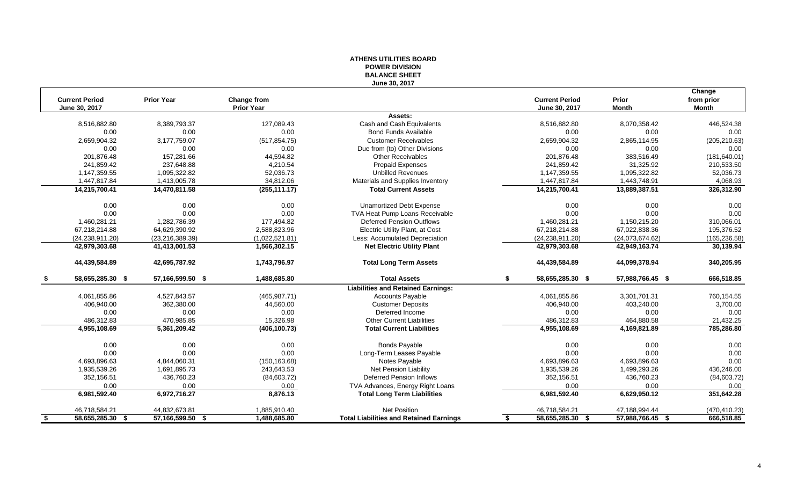## **ATHENS UTILITIES BOARD POWER DIVISION BALANCE SHEET June 30, 2017**

|      |                       |                   |                   |                                                |                        |                  | Change        |
|------|-----------------------|-------------------|-------------------|------------------------------------------------|------------------------|------------------|---------------|
|      | <b>Current Period</b> | <b>Prior Year</b> | Change from       |                                                | <b>Current Period</b>  | Prior            | from prior    |
|      | June 30, 2017         |                   | <b>Prior Year</b> |                                                | June 30, 2017          | <b>Month</b>     | <b>Month</b>  |
|      |                       |                   |                   | Assets:                                        |                        |                  |               |
|      | 8,516,882.80          | 8,389,793.37      | 127.089.43        | Cash and Cash Equivalents                      | 8,516,882.80           | 8,070,358.42     | 446,524.38    |
|      | 0.00                  | 0.00              | 0.00              | <b>Bond Funds Available</b>                    | 0.00                   | 0.00             | 0.00          |
|      | 2,659,904.32          | 3,177,759.07      | (517, 854.75)     | <b>Customer Receivables</b>                    | 2,659,904.32           | 2,865,114.95     | (205, 210.63) |
|      | 0.00                  | 0.00              | 0.00              | Due from (to) Other Divisions                  | 0.00                   | 0.00             | 0.00          |
|      | 201,876.48            | 157,281.66        | 44,594.82         | <b>Other Receivables</b>                       | 201,876.48             | 383,516.49       | (181, 640.01) |
|      | 241,859.42            | 237,648.88        | 4,210.54          | <b>Prepaid Expenses</b>                        | 241,859.42             | 31,325.92        | 210,533.50    |
|      | 1,147,359.55          | 1,095,322.82      | 52,036.73         | <b>Unbilled Revenues</b>                       | 1,147,359.55           | 1,095,322.82     | 52,036.73     |
|      | 1,447,817.84          | 1,413,005.78      | 34,812.06         | Materials and Supplies Inventory               | 1,447,817.84           | 1,443,748.91     | 4,068.93      |
|      | 14,215,700.41         | 14,470,811.58     | (255, 111.17)     | <b>Total Current Assets</b>                    | 14,215,700.41          | 13,889,387.51    | 326,312.90    |
|      | 0.00                  | 0.00              | 0.00              | <b>Unamortized Debt Expense</b>                | 0.00                   | 0.00             | 0.00          |
|      | 0.00                  | 0.00              | 0.00              | TVA Heat Pump Loans Receivable                 | 0.00                   | 0.00             | 0.00          |
|      | 1,460,281.21          | 1,282,786.39      | 177,494.82        | <b>Deferred Pension Outflows</b>               | 1,460,281.21           | 1,150,215.20     | 310,066.01    |
|      | 67,218,214.88         | 64,629,390.92     | 2,588,823.96      | <b>Electric Utility Plant, at Cost</b>         | 67,218,214.88          | 67,022,838.36    | 195,376.52    |
|      | (24, 238, 911.20)     | (23, 216, 389.39) | (1,022,521.81)    | Less: Accumulated Depreciation                 | (24, 238, 911.20)      | (24,073,674.62)  | (165, 236.58) |
|      | 42,979,303.68         | 41,413,001.53     | 1,566,302.15      | <b>Net Electric Utility Plant</b>              | 42,979,303.68          | 42,949,163.74    | 30,139.94     |
|      | 44,439,584.89         | 42,695,787.92     | 1,743,796.97      | <b>Total Long Term Assets</b>                  | 44,439,584.89          | 44,099,378.94    | 340,205.95    |
|      | 58,655,285.30<br>- \$ | 57,166,599.50 \$  | 1,488,685.80      | <b>Total Assets</b>                            | 58,655,285.30 \$<br>\$ | 57,988,766.45 \$ | 666,518.85    |
|      |                       |                   |                   | <b>Liabilities and Retained Earnings:</b>      |                        |                  |               |
|      | 4,061,855.86          | 4,527,843.57      | (465, 987.71)     | <b>Accounts Payable</b>                        | 4,061,855.86           | 3,301,701.31     | 760,154.55    |
|      | 406,940.00            | 362,380.00        | 44,560.00         | <b>Customer Deposits</b>                       | 406,940.00             | 403,240.00       | 3,700.00      |
|      | 0.00                  | 0.00              | 0.00              | Deferred Income                                | 0.00                   | 0.00             | 0.00          |
|      | 486,312.83            | 470,985.85        | 15,326.98         | <b>Other Current Liabilities</b>               | 486,312.83             | 464,880.58       | 21,432.25     |
|      | 4,955,108.69          | 5,361,209.42      | (406, 100.73)     | <b>Total Current Liabilities</b>               | 4,955,108.69           | 4,169,821.89     | 785,286.80    |
|      | 0.00                  | 0.00              | 0.00              | <b>Bonds Payable</b>                           | 0.00                   | 0.00             | 0.00          |
|      | 0.00                  | 0.00              | 0.00              | Long-Term Leases Payable                       | 0.00                   | 0.00             | 0.00          |
|      | 4.693.896.63          | 4,844,060.31      | (150, 163.68)     | Notes Payable                                  | 4,693,896.63           | 4,693,896.63     | 0.00          |
|      | 1,935,539.26          | 1,691,895.73      | 243,643.53        | <b>Net Pension Liability</b>                   | 1,935,539.26           | 1,499,293.26     | 436,246.00    |
|      | 352,156.51            | 436,760.23        | (84,603.72)       | <b>Deferred Pension Inflows</b>                | 352,156.51             | 436,760.23       | (84,603.72)   |
|      | 0.00                  | 0.00              | 0.00              | TVA Advances, Energy Right Loans               | 0.00                   | 0.00             | 0.00          |
|      | 6,981,592.40          | 6,972,716.27      | 8,876.13          | <b>Total Long Term Liabilities</b>             | 6,981,592.40           | 6,629,950.12     | 351,642.28    |
|      | 46,718,584.21         | 44,832,673.81     | 1,885,910.40      | <b>Net Position</b>                            | 46,718,584.21          | 47,188,994.44    | (470, 410.23) |
| - \$ | 58,655,285.30 \$      | 57,166,599.50 \$  | 1.488.685.80      | <b>Total Liabilities and Retained Earnings</b> | 58,655,285.30<br>\$.   | 57,988,766.45 \$ | 666,518.85    |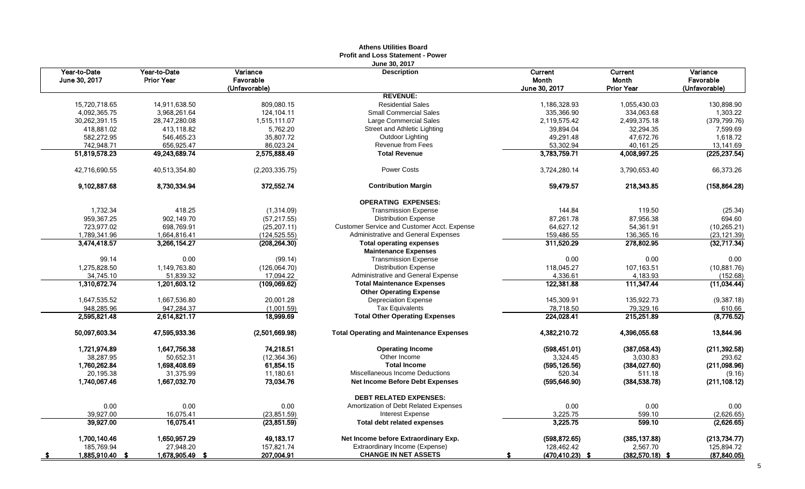|      |                               |                                   |                                        | Aultiis Vulluts Dvaru<br><b>Profit and Loss Statement - Power</b>      |                             |                                              |                                        |
|------|-------------------------------|-----------------------------------|----------------------------------------|------------------------------------------------------------------------|-----------------------------|----------------------------------------------|----------------------------------------|
|      | Year-to-Date<br>June 30, 2017 | Year-to-Date<br><b>Prior Year</b> | Variance<br>Favorable<br>(Unfavorable) | June 30, 2017<br><b>Description</b>                                    | Current<br><b>Month</b>     | <b>Current</b><br>Month<br><b>Prior Year</b> | Variance<br>Favorable<br>(Unfavorable) |
|      |                               |                                   |                                        | <b>REVENUE:</b>                                                        | <b>June 30, 2017</b>        |                                              |                                        |
|      | 15,720,718.65                 | 14,911,638.50                     | 809,080.15                             | <b>Residential Sales</b>                                               | 1,186,328.93                | 1,055,430.03                                 | 130,898.90                             |
|      | 4,092,365.75                  | 3,968,261.64                      | 124,104.11                             | <b>Small Commercial Sales</b>                                          | 335,366.90                  | 334,063.68                                   | 1,303.22                               |
|      | 30,262,391.15                 | 28,747,280.08                     | 1,515,111.07                           | Large Commercial Sales                                                 | 2,119,575.42                | 2,499,375.18                                 | (379, 799.76)                          |
|      | 418,881.02                    | 413,118.82                        | 5,762.20                               | Street and Athletic Lighting                                           | 39,894.04                   | 32,294.35                                    | 7,599.69                               |
|      | 582,272.95                    | 546,465.23                        | 35,807.72                              | Outdoor Lighting                                                       | 49,291.48                   | 47,672.76                                    | 1,618.72                               |
|      | 742,948.71                    | 656,925.47                        | 86,023.24                              | <b>Revenue from Fees</b>                                               | 53,302.94                   | 40,161.25                                    | 13,141.69                              |
|      | 51,819,578.23                 | 49,243,689.74                     | 2,575,888.49                           | <b>Total Revenue</b>                                                   | 3,783,759.71                | 4,008,997.25                                 | (225, 237.54)                          |
|      | 42,716,690.55                 | 40,513,354.80                     | (2,203,335.75)                         | Power Costs                                                            | 3,724,280.14                | 3,790,653.40                                 | 66,373.26                              |
|      | 9,102,887.68                  | 8,730,334.94                      | 372,552.74                             | <b>Contribution Margin</b>                                             | 59,479.57                   | 218,343.85                                   | (158, 864.28)                          |
|      |                               |                                   |                                        | <b>OPERATING EXPENSES:</b>                                             |                             |                                              |                                        |
|      | 1,732.34                      | 418.25                            | (1,314.09)                             | <b>Transmission Expense</b>                                            | 144.84                      | 119.50                                       | (25.34)                                |
|      | 959,367.25                    | 902,149.70                        | (57, 217.55)                           | <b>Distribution Expense</b>                                            | 87,261.78                   | 87,956.38                                    | 694.60                                 |
|      | 723,977.02                    | 698,769.91                        | (25, 207.11)                           | Customer Service and Customer Acct. Expense                            | 64,627.12                   | 54,361.91                                    | (10, 265.21)                           |
|      | 1,789,341.96                  | 1,664,816.41                      | (124, 525.55)                          | Administrative and General Expenses                                    | 159,486.55                  | 136,365.16                                   | (23, 121.39)                           |
|      | 3,474,418.57                  | 3,266,154.27                      | (208, 264.30)                          | <b>Total operating expenses</b><br><b>Maintenance Expenses</b>         | 311,520.29                  | 278,802.95                                   | (32,717.34)                            |
|      | 99.14                         | 0.00                              | (99.14)                                | <b>Transmission Expense</b>                                            | 0.00                        | 0.00                                         | 0.00                                   |
|      | 1,275,828.50                  | 1,149,763.80                      | (126,064.70)                           | <b>Distribution Expense</b>                                            | 118,045.27                  | 107,163.51                                   | (10,881.76)                            |
|      | 34,745.10                     | 51,839.32                         | 17,094.22                              | Administrative and General Expense                                     | 4,336.61                    | 4,183.93                                     | (152.68)                               |
|      | 1,310,672.74                  | 1,201,603.12                      | (109,069.62)                           | <b>Total Maintenance Expenses</b>                                      | 122,381.88                  | 111,347.44                                   | (11, 034.44)                           |
|      |                               |                                   |                                        | <b>Other Operating Expense</b>                                         |                             |                                              |                                        |
|      | 1,647,535.52                  | 1,667,536.80                      | 20,001.28                              | <b>Depreciation Expense</b>                                            | 145,309.91                  | 135,922.73                                   | (9, 387.18)                            |
|      | 948,285.96                    | 947,284.37                        | (1,001.59)                             | <b>Tax Equivalents</b>                                                 | 78,718.50                   | 79,329.16                                    | 610.66                                 |
|      | 2.595.821.48                  | 2.614.821.17                      | 18,999.69                              | <b>Total Other Operating Expenses</b>                                  | 224,028.41                  | 215.251.89                                   | (8, 776.52)                            |
|      | 50,097,603.34                 | 47,595,933.36                     | (2,501,669.98)                         | <b>Total Operating and Maintenance Expenses</b>                        | 4,382,210.72                | 4,396,055.68                                 | 13,844.96                              |
|      | 1,721,974.89                  | 1,647,756.38                      | 74,218.51                              | <b>Operating Income</b>                                                | (598, 451.01)               | (387,058.43)                                 | (211, 392.58)                          |
|      | 38,287.95                     | 50,652.31                         | (12, 364.36)                           | Other Income                                                           | 3,324.45                    | 3,030.83                                     | 293.62                                 |
|      | 1,760,262.84                  | 1,698,408.69                      | 61,854.15                              | <b>Total Income</b>                                                    | (595, 126.56)               | (384, 027.60)                                | (211,098.96)                           |
|      | 20,195.38                     | 31,375.99                         | 11,180.61                              | Miscellaneous Income Deductions                                        | 520.34                      | 511.18                                       | (9.16)                                 |
|      | 1,740,067.46                  | 1,667,032.70                      | 73,034.76                              | <b>Net Income Before Debt Expenses</b>                                 | (595, 646.90)               | (384, 538.78)                                | (211, 108.12)                          |
|      |                               |                                   |                                        | <b>DEBT RELATED EXPENSES:</b>                                          |                             |                                              |                                        |
|      | 0.00                          | 0.00                              | 0.00                                   | Amortization of Debt Related Expenses                                  | 0.00                        | 0.00                                         | 0.00                                   |
|      | 39,927.00<br>39,927.00        | 16,075.41<br>16,075.41            | (23, 851.59)<br>(23, 851.59)           | <b>Interest Expense</b><br><b>Total debt related expenses</b>          | 3,225.75<br>3,225.75        | 599.10<br>599.10                             | (2,626.65)<br>(2,626.65)               |
|      |                               |                                   |                                        |                                                                        |                             |                                              |                                        |
|      | 1,700,140.46<br>185,769.94    | 1,650,957.29<br>27,948.20         | 49,183.17<br>157,821.74                | Net Income before Extraordinary Exp.<br>Extraordinary Income (Expense) | (598, 872.65)<br>128,462.42 | (385, 137.88)<br>2,567.70                    | (213, 734.77)<br>125,894.72            |
|      | 1,885,910.40                  | 1,678,905.49 \$                   | 207,004.91                             | <b>CHANGE IN NET ASSETS</b>                                            |                             | $(382,570.18)$ \$                            | (87, 840.05)                           |
| - \$ |                               |                                   |                                        |                                                                        | (470,410.23)                |                                              |                                        |

# **Athens Utilities Board**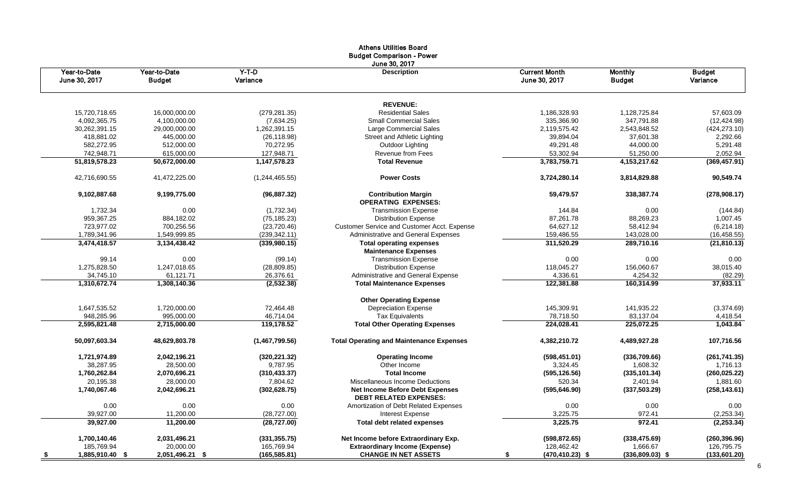|                               |                               |                              | Athens Utilities Board<br><b>Budget Comparison - Power</b>              |                                       |                                 |                           |
|-------------------------------|-------------------------------|------------------------------|-------------------------------------------------------------------------|---------------------------------------|---------------------------------|---------------------------|
| Year-to-Date<br>June 30, 2017 | Year-to-Date<br><b>Budget</b> | $Y-T-D$<br>Variance          | June 30, 2017<br><b>Description</b>                                     | <b>Current Month</b><br>June 30, 2017 | <b>Monthly</b><br><b>Budget</b> | <b>Budget</b><br>Variance |
|                               |                               |                              | <b>REVENUE:</b>                                                         |                                       |                                 |                           |
| 15,720,718.65                 | 16,000,000.00                 | (279, 281.35)                | <b>Residential Sales</b>                                                | 1,186,328.93                          | 1,128,725.84                    | 57,603.09                 |
| 4,092,365.75                  | 4,100,000.00                  | (7,634.25)                   | <b>Small Commercial Sales</b>                                           | 335,366.90                            | 347,791.88                      | (12, 424.98)              |
| 30,262,391.15                 | 29,000,000.00                 | 1,262,391.15                 | Large Commercial Sales                                                  | 2,119,575.42                          | 2,543,848.52                    | (424, 273.10)             |
| 418,881.02                    | 445,000.00                    | (26, 118.98)                 | Street and Athletic Lighting                                            | 39,894.04                             | 37,601.38                       | 2,292.66                  |
| 582,272.95                    | 512,000.00                    | 70,272.95                    | Outdoor Lighting                                                        | 49,291.48                             | 44,000.00                       | 5,291.48                  |
| 742,948.71                    | 615,000.00                    | 127,948.71                   | Revenue from Fees                                                       | 53,302.94                             | 51,250.00                       | 2,052.94                  |
| 51,819,578.23                 | 50,672,000.00                 | 1,147,578.23                 | <b>Total Revenue</b>                                                    | 3,783,759.71                          | 4,153,217.62                    | (369, 457.91)             |
| 42,716,690.55                 | 41,472,225.00                 | (1,244,465.55)               | <b>Power Costs</b>                                                      | 3,724,280.14                          | 3,814,829.88                    | 90,549.74                 |
| 9,102,887.68                  | 9,199,775.00                  | (96, 887.32)                 | <b>Contribution Margin</b><br><b>OPERATING EXPENSES:</b>                | 59,479.57                             | 338,387.74                      | (278,908.17)              |
| 1,732.34                      | 0.00                          | (1,732.34)                   | <b>Transmission Expense</b>                                             | 144.84                                | 0.00                            | (144.84)                  |
| 959,367.25                    | 884,182.02                    | (75, 185.23)                 | <b>Distribution Expense</b>                                             | 87,261.78                             | 88,269.23                       | 1,007.45                  |
| 723,977.02                    | 700,256.56                    | (23, 720.46)                 | Customer Service and Customer Acct. Expense                             | 64,627.12                             | 58,412.94                       | (6,214.18)                |
| 1,789,341.96                  | 1,549,999.85                  | (239, 342.11)                | Administrative and General Expenses                                     | 159,486.55                            | 143,028.00                      | (16, 458.55)              |
| 3,474,418.57                  | 3,134,438.42                  | (339, 980.15)                | <b>Total operating expenses</b>                                         | 311,520.29                            | 289,710.16                      | (21, 810.13)              |
|                               |                               |                              | <b>Maintenance Expenses</b>                                             |                                       |                                 |                           |
| 99.14                         | 0.00                          | (99.14)                      | <b>Transmission Expense</b>                                             | 0.00                                  | 0.00                            | 0.00                      |
| 1,275,828.50                  | 1,247,018.65                  | (28, 809.85)                 | <b>Distribution Expense</b>                                             | 118,045.27                            | 156,060.67                      | 38,015.40                 |
| 34,745.10                     | 61,121.71                     | 26,376.61                    | Administrative and General Expense                                      | 4,336.61                              | 4,254.32                        | (82.29)                   |
| 1,310,672.74                  | 1,308,140.36                  | (2,532.38)                   | <b>Total Maintenance Expenses</b>                                       | 122,381.88                            | 160,314.99                      | 37,933.11                 |
|                               |                               |                              | <b>Other Operating Expense</b>                                          |                                       |                                 |                           |
| 1,647,535.52                  | 1,720,000.00                  | 72,464.48                    | <b>Depreciation Expense</b>                                             | 145,309.91                            | 141,935.22                      | (3,374.69)                |
| 948,285.96                    | 995,000.00                    | 46,714.04                    | <b>Tax Equivalents</b>                                                  | 78,718.50                             | 83,137.04                       | 4,418.54                  |
| 2,595,821.48                  | 2,715,000.00                  | 119,178.52                   | <b>Total Other Operating Expenses</b>                                   | 224,028.41                            | 225,072.25                      | 1,043.84                  |
| 50,097,603.34                 | 48,629,803.78                 | (1,467,799.56)               | <b>Total Operating and Maintenance Expenses</b>                         | 4,382,210.72                          | 4,489,927.28                    | 107,716.56                |
| 1,721,974.89                  | 2,042,196.21                  | (320, 221.32)                | <b>Operating Income</b>                                                 | (598, 451.01)                         | (336,709.66)                    | (261, 741.35)             |
| 38,287.95                     | 28,500.00                     | 9,787.95                     | Other Income                                                            | 3,324.45                              | 1,608.32                        | 1,716.13                  |
| 1,760,262.84                  | 2,070,696.21                  | (310, 433.37)                | <b>Total Income</b>                                                     | (595, 126.56)                         | (335, 101.34)                   | (260, 025.22)             |
| 20,195.38                     | 28,000.00                     | 7,804.62                     | Miscellaneous Income Deductions                                         | 520.34                                | 2,401.94                        | 1,881.60                  |
| 1,740,067.46                  | 2,042,696.21                  | (302, 628.75)                | <b>Net Income Before Debt Expenses</b><br><b>DEBT RELATED EXPENSES:</b> | (595, 646.90)                         | (337, 503.29)                   | (258, 143.61)             |
| 0.00                          | 0.00                          | 0.00                         | Amortization of Debt Related Expenses                                   | 0.00                                  | 0.00                            | 0.00                      |
| 39,927.00                     |                               |                              |                                                                         |                                       | 972.41                          |                           |
| 39,927.00                     | 11,200.00<br>11,200.00        | (28, 727.00)<br>(28, 727.00) | Interest Expense<br><b>Total debt related expenses</b>                  | 3,225.75<br>3,225.75                  | 972.41                          | (2,253.34)<br>(2, 253.34) |
|                               |                               |                              |                                                                         |                                       |                                 |                           |
| 1,700,140.46                  | 2,031,496.21                  | (331, 355.75)                | Net Income before Extraordinary Exp.                                    | (598, 872.65)                         | (338, 475.69)                   | (260, 396.96)             |
| 185,769.94                    | 20,000.00                     | 165,769.94                   | <b>Extraordinary Income (Expense)</b>                                   | 128,462.42                            | 1,666.67                        | 126,795.75                |
| 1,885,910.40 \$               | 2,051,496.21 \$               | (165, 585.81)                | <b>CHANGE IN NET ASSETS</b>                                             | $(470, 410.23)$ \$<br>S               | $(336,809.03)$ \$               | (133,601.20)              |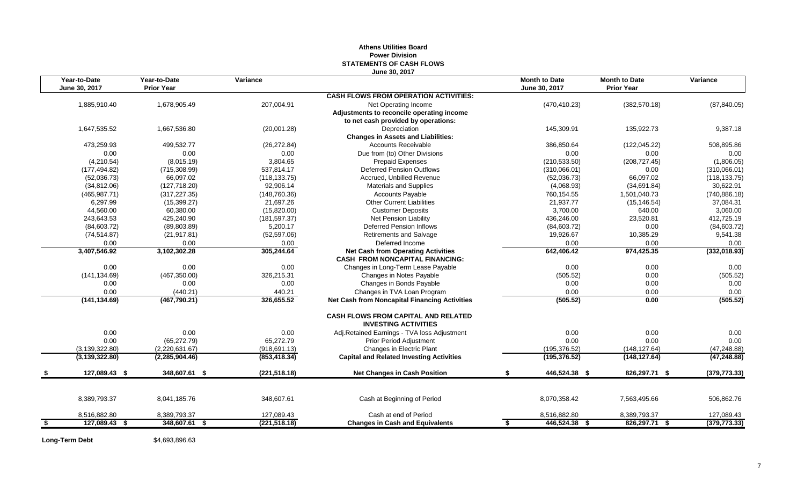## **Athens Utilities Board Power Division STATEMENTS OF CASH FLOWS June 30, 2017**

| Year-to-Date<br>June 30, 2017 | Year-to-Date<br><b>Prior Year</b> | Variance      |                                                                                     | <b>Month to Date</b><br>June 30, 2017 | <b>Month to Date</b><br><b>Prior Year</b> | Variance      |
|-------------------------------|-----------------------------------|---------------|-------------------------------------------------------------------------------------|---------------------------------------|-------------------------------------------|---------------|
|                               |                                   |               | <b>CASH FLOWS FROM OPERATION ACTIVITIES:</b>                                        |                                       |                                           |               |
| 1,885,910.40                  | 1,678,905.49                      | 207,004.91    | Net Operating Income                                                                | (470, 410.23)                         | (382, 570.18)                             | (87, 840.05)  |
|                               |                                   |               | Adjustments to reconcile operating income                                           |                                       |                                           |               |
|                               |                                   |               | to net cash provided by operations:                                                 |                                       |                                           |               |
| 1,647,535.52                  | 1,667,536.80                      | (20,001.28)   | Depreciation                                                                        | 145,309.91                            | 135,922.73                                | 9,387.18      |
|                               |                                   |               | <b>Changes in Assets and Liabilities:</b>                                           |                                       |                                           |               |
| 473,259.93                    | 499,532.77                        | (26, 272.84)  | <b>Accounts Receivable</b>                                                          | 386,850.64                            | (122, 045.22)                             | 508,895.86    |
| 0.00                          | 0.00                              | 0.00          | Due from (to) Other Divisions                                                       | 0.00                                  | 0.00                                      | 0.00          |
| (4,210.54)                    | (8,015.19)                        | 3,804.65      | <b>Prepaid Expenses</b>                                                             | (210, 533.50)                         | (208, 727.45)                             | (1,806.05)    |
| (177, 494.82)                 | (715, 308.99)                     | 537,814.17    | <b>Deferred Pension Outflows</b>                                                    | (310,066.01)                          | 0.00                                      | (310,066.01)  |
| (52,036.73)                   | 66,097.02                         | (118, 133.75) | Accrued, Unbilled Revenue                                                           | (52,036.73)                           | 66,097.02                                 | (118, 133.75) |
| (34, 812.06)                  | (127, 718.20)                     | 92,906.14     | <b>Materials and Supplies</b>                                                       | (4,068.93)                            | (34, 691.84)                              | 30,622.91     |
| (465, 987.71)                 | (317, 227.35)                     | (148, 760.36) | <b>Accounts Payable</b>                                                             | 760,154.55                            | 1,501,040.73                              | (740, 886.18) |
| 6,297.99                      | (15, 399.27)                      | 21,697.26     | <b>Other Current Liabilities</b>                                                    | 21,937.77                             | (15, 146.54)                              | 37,084.31     |
| 44,560.00                     | 60,380.00                         | (15,820.00)   | <b>Customer Deposits</b>                                                            | 3,700.00                              | 640.00                                    | 3,060.00      |
| 243,643.53                    | 425,240.90                        | (181, 597.37) | Net Pension Liability                                                               | 436,246.00                            | 23,520.81                                 | 412,725.19    |
| (84,603.72)                   | (89, 803.89)                      | 5,200.17      | Deferred Pension Inflows                                                            | (84, 603.72)                          | 0.00                                      | (84, 603.72)  |
| (74, 514.87)                  | (21, 917.81)                      | (52, 597.06)  | <b>Retirements and Salvage</b>                                                      | 19,926.67                             | 10,385.29                                 | 9,541.38      |
| 0.00                          | 0.00                              | 0.00          | Deferred Income                                                                     | 0.00                                  | 0.00                                      | 0.00          |
| 3,407,546.92                  | 3,102,302.28                      | 305,244.64    | <b>Net Cash from Operating Activities</b><br><b>CASH FROM NONCAPITAL FINANCING:</b> | 642,406.42                            | 974,425.35                                | (332,018.93)  |
| 0.00                          | 0.00                              | 0.00          | Changes in Long-Term Lease Payable                                                  | 0.00                                  | 0.00                                      | 0.00          |
| (141, 134.69)                 | (467, 350.00)                     | 326,215.31    | Changes in Notes Payable                                                            | (505.52)                              | 0.00                                      | (505.52)      |
| 0.00                          | 0.00                              | 0.00          | Changes in Bonds Payable                                                            | 0.00                                  | 0.00                                      | 0.00          |
| 0.00                          | (440.21)                          | 440.21        | Changes in TVA Loan Program                                                         | 0.00                                  | 0.00                                      | 0.00          |
| (141, 134.69)                 | (467,790.21)                      | 326,655.52    | <b>Net Cash from Noncapital Financing Activities</b>                                | (505.52)                              | 0.00                                      | (505.52)      |
|                               |                                   |               | <b>CASH FLOWS FROM CAPITAL AND RELATED</b><br><b>INVESTING ACTIVITIES</b>           |                                       |                                           |               |
| 0.00                          | 0.00                              | 0.00          | Adj.Retained Earnings - TVA loss Adjustment                                         | 0.00                                  | 0.00                                      | 0.00          |
| 0.00                          | (65, 272.79)                      | 65,272.79     | <b>Prior Period Adjustment</b>                                                      | 0.00                                  | 0.00                                      | 0.00          |
| (3, 139, 322.80)              | (2,220,631.67)                    | (918, 691.13) | Changes in Electric Plant                                                           | (195, 376.52)                         | (148, 127.64)                             | (47, 248.88)  |
| (3, 139, 322.80)              | (2,285,904.46)                    | (853, 418.34) | <b>Capital and Related Investing Activities</b>                                     | (195, 376.52)                         | (148, 127.64)                             | (47, 248.88)  |
| 127,089.43 \$                 | 348,607.61 \$                     | (221, 518.18) | <b>Net Changes in Cash Position</b>                                                 | 446,524.38 \$                         | 826,297.71 \$                             | (379, 773.33) |
|                               |                                   |               |                                                                                     |                                       |                                           |               |
| 8,389,793.37                  | 8,041,185.76                      | 348,607.61    | Cash at Beginning of Period                                                         | 8,070,358.42                          | 7,563,495.66                              | 506,862.76    |
| 8,516,882.80                  | 8,389,793.37                      | 127,089.43    | Cash at end of Period                                                               | 8,516,882.80                          | 8,389,793.37                              | 127,089.43    |
| \$<br>127,089.43 \$           | 348,607.61 \$                     | (221, 518.18) | <b>Changes in Cash and Equivalents</b>                                              | 446,524.38 \$<br>\$                   | 826,297.71 \$                             | (379, 773.33) |

Long-Term Debt \$4,693,896.63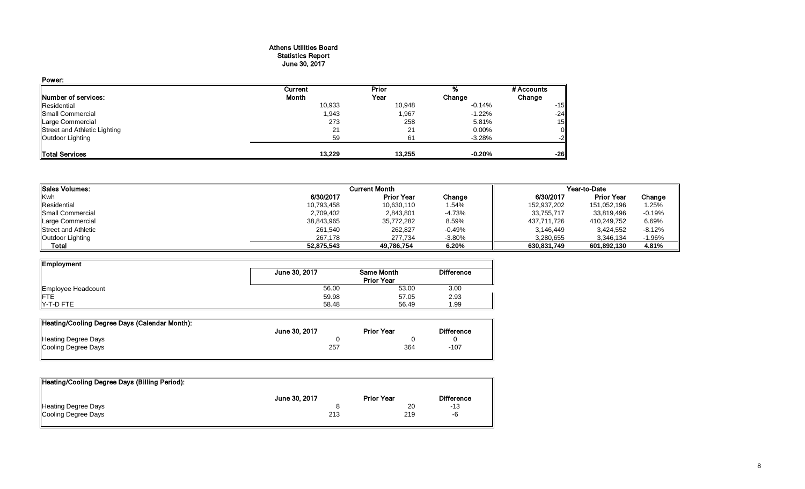## Athens Utilities Board Statistics Report June 30, 2017

| Power:                       |         |        |          |             |
|------------------------------|---------|--------|----------|-------------|
|                              | Current | Prior  |          | # Accounts  |
| Number of services:          | Month   | Year   | Change   | Change      |
| Residential                  | 10,933  | 10,948 | -0.14%   | $-15$       |
| <b>Small Commercial</b>      | 1,943   | 1,967  | $-1.22%$ | $-24$       |
| Large Commercial             | 273     | 258    | 5.81%    | 15          |
| Street and Athletic Lighting | 21      | 21     | 0.00%    | $\mathbf 0$ |
| Outdoor Lighting             | 59      | 61     | $-3.28%$ | $-2$        |
| <b>Total Services</b>        | 13.229  | 13,255 | $-0.20%$ | $-26$       |

| <b>Sales Volumes:</b>      |            | <b>Current Month</b> |          | Year-to-Date |                   |          |
|----------------------------|------------|----------------------|----------|--------------|-------------------|----------|
| Kwh                        | 6/30/2017  | <b>Prior Year</b>    | Change   | 6/30/2017    | <b>Prior Year</b> | Change   |
| Residential                | 10,793,458 | 10,630,110           | 1.54%    | 152,937,202  | 151,052,196       | 1.25%    |
| Small Commercial           | 2,709,402  | 2,843,801            | -4.73%   | 33.755.717   | 33,819,496        | $-0.19%$ |
| Large Commercial           | 38,843,965 | 35,772,282           | 8.59%    | 437,711,726  | 410.249.752       | 6.69%    |
| <b>Street and Athletic</b> | 261,540    | 262,827              | $-0.49%$ | 3,146,449    | 3.424.552         | $-8.12%$ |
| Outdoor Lighting           | 267.178    | 277.734              | $-3.80%$ | 3,280,655    | 3.346.134         | -1.96%   |
| Total                      | 52,875,543 | 49,786,754           | 6.20%    | 630,831,749  | 601,892,130       | 4.81%    |

| <b>Employment</b>         |               |                   |                   |
|---------------------------|---------------|-------------------|-------------------|
|                           | June 30, 2017 | <b>Same Month</b> | <b>Difference</b> |
|                           |               | <b>Prior Year</b> |                   |
| Employee Headcount<br>FTE | 56.00         | 53.00             | 3.00              |
|                           | 59.98         | 57.05             | 2.93              |
| Y-T-D FTE                 | 58.48         | 56.49             | 1.99              |

| Heating/Cooling Degree Days (Calendar Month): |               |                   |                   |
|-----------------------------------------------|---------------|-------------------|-------------------|
|                                               | June 30, 2017 | <b>Prior Year</b> | <b>Difference</b> |
| Heating Degree Days                           |               |                   |                   |
| Cooling Degree Days                           | 257           | 364               | $-107$            |
|                                               |               |                   |                   |

| Heating/Cooling Degree Days (Billing Period): |               |                   |                   |
|-----------------------------------------------|---------------|-------------------|-------------------|
|                                               | June 30, 2017 | <b>Prior Year</b> | <b>Difference</b> |
| <b>Heating Degree Days</b>                    |               | 20                | -13               |
| Cooling Degree Days                           | 213           | 219               | -6                |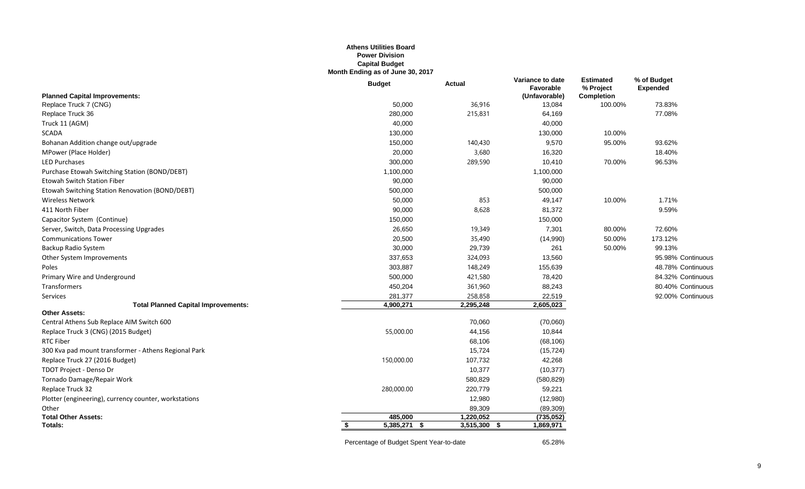## **Athens Utilities Board Power Division Capital Budget Month Ending as of June 30, 2017**

|                                                       | <b>Budget</b>  | <b>Actual</b>    | Variance to date<br>Favorable | <b>Estimated</b><br>% Project | % of Budget<br><b>Expended</b> |
|-------------------------------------------------------|----------------|------------------|-------------------------------|-------------------------------|--------------------------------|
| <b>Planned Capital Improvements:</b>                  |                |                  | (Unfavorable)                 | Completion                    |                                |
| Replace Truck 7 (CNG)                                 | 50,000         | 36,916           | 13,084                        | 100.00%                       | 73.83%                         |
| Replace Truck 36                                      | 280,000        | 215,831          | 64,169                        |                               | 77.08%                         |
| Truck 11 (AGM)                                        | 40,000         |                  | 40,000                        |                               |                                |
| <b>SCADA</b>                                          | 130,000        |                  | 130,000                       | 10.00%                        |                                |
| Bohanan Addition change out/upgrade                   | 150,000        | 140,430          | 9,570                         | 95.00%                        | 93.62%                         |
| MPower (Place Holder)                                 | 20,000         | 3,680            | 16,320                        |                               | 18.40%                         |
| <b>LED Purchases</b>                                  | 300,000        | 289,590          | 10,410                        | 70.00%                        | 96.53%                         |
| Purchase Etowah Switching Station (BOND/DEBT)         | 1,100,000      |                  | 1,100,000                     |                               |                                |
| Etowah Switch Station Fiber                           | 90,000         |                  | 90,000                        |                               |                                |
| Etowah Switching Station Renovation (BOND/DEBT)       | 500,000        |                  | 500,000                       |                               |                                |
| <b>Wireless Network</b>                               | 50,000         | 853              | 49,147                        | 10.00%                        | 1.71%                          |
| 411 North Fiber                                       | 90,000         | 8,628            | 81,372                        |                               | 9.59%                          |
| Capacitor System (Continue)                           | 150,000        |                  | 150,000                       |                               |                                |
| Server, Switch, Data Processing Upgrades              | 26,650         | 19,349           | 7,301                         | 80.00%                        | 72.60%                         |
| <b>Communications Tower</b>                           | 20,500         | 35,490           | (14,990)                      | 50.00%                        | 173.12%                        |
| Backup Radio System                                   | 30,000         | 29,739           | 261                           | 50.00%                        | 99.13%                         |
| Other System Improvements                             | 337,653        | 324,093          | 13,560                        |                               | 95.98% Continuous              |
| Poles                                                 | 303,887        | 148,249          | 155,639                       |                               | 48.78% Continuous              |
| Primary Wire and Underground                          | 500,000        | 421,580          | 78,420                        |                               | 84.32% Continuous              |
| Transformers                                          | 450,204        | 361,960          | 88,243                        |                               | 80.40% Continuous              |
| Services                                              | 281,377        | 258,858          | 22,519                        |                               | 92.00% Continuous              |
| <b>Total Planned Capital Improvements:</b>            | 4,900,271      | 2,295,248        | 2,605,023                     |                               |                                |
| <b>Other Assets:</b>                                  |                |                  |                               |                               |                                |
| Central Athens Sub Replace AIM Switch 600             |                | 70,060           | (70,060)                      |                               |                                |
| Replace Truck 3 (CNG) (2015 Budget)                   | 55,000.00      | 44,156           | 10,844                        |                               |                                |
| <b>RTC Fiber</b>                                      |                | 68,106           | (68, 106)                     |                               |                                |
| 300 Kva pad mount transformer - Athens Regional Park  |                | 15,724           | (15, 724)                     |                               |                                |
| Replace Truck 27 (2016 Budget)                        | 150,000.00     | 107,732          | 42,268                        |                               |                                |
| TDOT Project - Denso Dr                               |                | 10,377           | (10, 377)                     |                               |                                |
| Tornado Damage/Repair Work                            |                | 580,829          | (580, 829)                    |                               |                                |
| Replace Truck 32                                      | 280,000.00     | 220,779          | 59,221                        |                               |                                |
| Plotter (engineering), currency counter, workstations |                | 12,980           | (12,980)                      |                               |                                |
| Other                                                 |                | 89,309           | (89, 309)                     |                               |                                |
| <b>Total Other Assets:</b>                            | 485,000        | 1,220,052        | (735, 052)                    |                               |                                |
| Totals:                                               | $5,385,271$ \$ | 3,515,300<br>- 5 | 1,869,971                     |                               |                                |

Percentage of Budget Spent Year-to-date 65.28%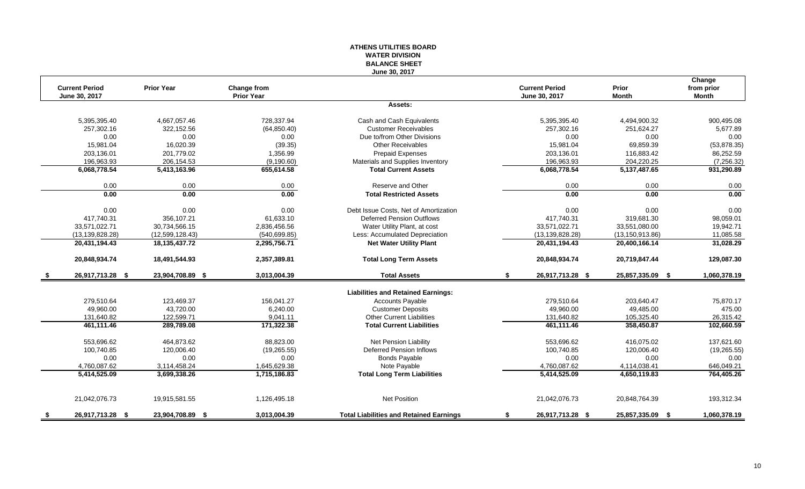### **ATHENS UTILITIES BOARD WATER DIVISION BALANCE SHEET June 30, 2017**

|      | <b>Current Period</b> | <b>Prior Year</b> | Change from       |                                                | <b>Current Period</b>  | Prior             | Change<br>from prior |
|------|-----------------------|-------------------|-------------------|------------------------------------------------|------------------------|-------------------|----------------------|
|      | June 30, 2017         |                   | <b>Prior Year</b> |                                                | June 30, 2017          | <b>Month</b>      | Month                |
|      |                       |                   |                   | Assets:                                        |                        |                   |                      |
|      | 5,395,395.40          | 4,667,057.46      | 728,337.94        | Cash and Cash Equivalents                      | 5,395,395.40           | 4,494,900.32      | 900,495.08           |
|      | 257,302.16            | 322,152.56        | (64, 850.40)      | <b>Customer Receivables</b>                    | 257,302.16             | 251,624.27        | 5,677.89             |
|      | 0.00                  | 0.00              | 0.00              | Due to/from Other Divisions                    | 0.00                   | 0.00              | 0.00                 |
|      | 15.981.04             | 16.020.39         | (39.35)           | <b>Other Receivables</b>                       | 15.981.04              | 69.859.39         | (53, 878.35)         |
|      | 203,136.01            | 201,779.02        | 1,356.99          | <b>Prepaid Expenses</b>                        | 203,136.01             | 116,883.42        | 86,252.59            |
|      | 196,963.93            | 206,154.53        | (9, 190.60)       | Materials and Supplies Inventory               | 196,963.93             | 204,220.25        | (7,256.32)           |
|      | 6,068,778.54          | 5,413,163.96      | 655,614.58        | <b>Total Current Assets</b>                    | 6,068,778.54           | 5, 137, 487. 65   | 931,290.89           |
|      | 0.00                  | 0.00              | 0.00              | Reserve and Other                              | 0.00                   | 0.00              | 0.00                 |
|      | 0.00                  | 0.00              | 0.00              | <b>Total Restricted Assets</b>                 | 0.00                   | 0.00              | 0.00                 |
|      | 0.00                  | 0.00              | 0.00              | Debt Issue Costs, Net of Amortization          | 0.00                   | 0.00              | 0.00                 |
|      | 417.740.31            | 356.107.21        | 61.633.10         | <b>Deferred Pension Outflows</b>               | 417.740.31             | 319.681.30        | 98,059.01            |
|      | 33,571,022.71         | 30,734,566.15     | 2,836,456.56      | Water Utility Plant, at cost                   | 33,571,022.71          | 33,551,080.00     | 19,942.71            |
|      | (13, 139, 828.28)     | (12,599,128.43)   | (540, 699.85)     | Less: Accumulated Depreciation                 | (13, 139, 828.28)      | (13, 150, 913.86) | 11,085.58            |
|      | 20,431,194.43         | 18,135,437.72     | 2,295,756.71      | <b>Net Water Utility Plant</b>                 | 20,431,194.43          | 20,400,166.14     | 31,028.29            |
|      | 20,848,934.74         | 18,491,544.93     | 2,357,389.81      | <b>Total Long Term Assets</b>                  | 20,848,934.74          | 20,719,847.44     | 129,087.30           |
| - 56 | 26,917,713.28 \$      | 23,904,708.89 \$  | 3,013,004.39      | <b>Total Assets</b>                            | 26,917,713.28 \$<br>\$ | 25,857,335.09 \$  | 1,060,378.19         |
|      |                       |                   |                   | <b>Liabilities and Retained Earnings:</b>      |                        |                   |                      |
|      | 279,510.64            | 123,469.37        | 156,041.27        | Accounts Payable                               | 279,510.64             | 203,640.47        | 75,870.17            |
|      | 49,960.00             | 43,720.00         | 6,240.00          | <b>Customer Deposits</b>                       | 49,960.00              | 49,485.00         | 475.00               |
|      | 131,640.82            | 122,599.71        | 9,041.11          | <b>Other Current Liabilities</b>               | 131,640.82             | 105,325.40        | 26,315.42            |
|      | 461,111.46            | 289,789.08        | 171,322.38        | <b>Total Current Liabilities</b>               | 461,111.46             | 358,450.87        | 102,660.59           |
|      | 553,696.62            | 464,873.62        | 88,823.00         | Net Pension Liability                          | 553,696.62             | 416,075.02        | 137,621.60           |
|      | 100,740.85            | 120,006.40        | (19, 265.55)      | <b>Deferred Pension Inflows</b>                | 100,740.85             | 120,006.40        | (19, 265.55)         |
|      | 0.00                  | 0.00              | 0.00              | <b>Bonds Payable</b>                           | 0.00                   | 0.00              | 0.00                 |
|      | 4,760,087.62          | 3,114,458.24      | 1,645,629.38      | Note Payable                                   | 4,760,087.62           | 4,114,038.41      | 646,049.21           |
|      | 5,414,525.09          | 3,699,338.26      | 1,715,186.83      | <b>Total Long Term Liabilities</b>             | 5,414,525.09           | 4,650,119.83      | 764,405.26           |
|      |                       |                   |                   |                                                |                        |                   |                      |
|      | 21,042,076.73         | 19,915,581.55     | 1,126,495.18      | Net Position                                   | 21,042,076.73          | 20,848,764.39     | 193,312.34           |
| - \$ | 26,917,713.28 \$      | 23,904,708.89 \$  | 3,013,004.39      | <b>Total Liabilities and Retained Earnings</b> | 26,917,713.28 \$<br>S. | 25,857,335.09 \$  | 1,060,378.19         |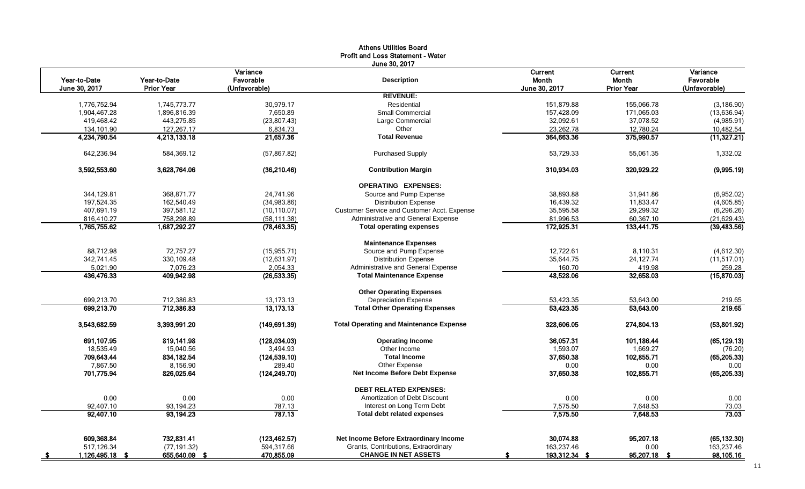|                              |                              |                       | June 30, 2017                                  |                          |                          |                            |
|------------------------------|------------------------------|-----------------------|------------------------------------------------|--------------------------|--------------------------|----------------------------|
| Year-to-Date                 | Year-to-Date                 | Variance<br>Favorable | <b>Description</b>                             | Current<br>Month         | Current<br>Month         | Variance<br>Favorable      |
| June 30, 2017                | <b>Prior Year</b>            | (Unfavorable)         |                                                | June 30, 2017            | <b>Prior Year</b>        | (Unfavorable)              |
|                              |                              |                       | <b>REVENUE:</b><br>Residential                 |                          |                          |                            |
| 1,776,752.94<br>1,904,467.28 | 1,745,773.77<br>1,896,816.39 | 30,979.17<br>7.650.89 | <b>Small Commercial</b>                        | 151,879.88<br>157,428.09 | 155,066.78<br>171,065.03 | (3, 186.90)<br>(13,636.94) |
| 419,468.42                   | 443,275.85                   | (23, 807.43)          | Large Commercial                               | 32.092.61                | 37,078.52                | (4,985.91)                 |
| 134,101.90                   | 127,267.17                   | 6,834.73              | Other                                          | 23,262.78                | 12,780.24                | 10,482.54                  |
| 4,234,790.54                 | 4,213,133.18                 | 21,657.36             | <b>Total Revenue</b>                           | 364,663.36               | 375,990.57               | (11, 327.21)               |
|                              |                              |                       |                                                |                          |                          |                            |
| 642,236.94                   | 584,369.12                   | (57, 867.82)          | <b>Purchased Supply</b>                        | 53,729.33                | 55,061.35                | 1,332.02                   |
| 3,592,553.60                 | 3,628,764.06                 | (36, 210.46)          | <b>Contribution Margin</b>                     | 310,934.03               | 320,929.22               | (9,995.19)                 |
|                              |                              |                       | <b>OPERATING EXPENSES:</b>                     |                          |                          |                            |
| 344,129.81                   | 368.871.77                   | 24,741.96             | Source and Pump Expense                        | 38,893.88                | 31.941.86                | (6,952.02)                 |
| 197,524.35                   | 162,540.49                   | (34,983.86)           | <b>Distribution Expense</b>                    | 16.439.32                | 11,833.47                | (4,605.85)                 |
| 407,691.19                   | 397,581.12                   | (10, 110.07)          | Customer Service and Customer Acct. Expense    | 35,595.58                | 29,299.32                | (6,296.26)                 |
| 816,410.27                   | 758,298.89                   | (58, 111.38)          | Administrative and General Expense             | 81,996.53                | 60,367.10                | (21, 629.43)               |
| 1,765,755.62                 | 1,687,292.27                 | (78, 463.35)          | <b>Total operating expenses</b>                | 172,925.31               | 133,441.75               | (39, 483.56)               |
|                              |                              |                       | <b>Maintenance Expenses</b>                    |                          |                          |                            |
| 88,712.98                    | 72,757.27                    | (15, 955.71)          | Source and Pump Expense                        | 12,722.61                | 8,110.31                 | (4,612.30)                 |
| 342,741.45                   | 330,109.48                   | (12, 631.97)          | <b>Distribution Expense</b>                    | 35,644.75                | 24,127.74                | (11,517.01)                |
| 5,021.90                     | 7.076.23                     | 2,054.33              | Administrative and General Expense             | 160.70                   | 419.98                   | 259.28                     |
| 436,476.33                   | 409,942.98                   | (26, 533.35)          | <b>Total Maintenance Expense</b>               | 48,528.06                | 32,658.03                | (15,870.03)                |
|                              |                              |                       | <b>Other Operating Expenses</b>                |                          |                          |                            |
| 699,213.70                   | 712,386.83                   | 13,173.13             | Depreciation Expense                           | 53,423.35                | 53,643.00                | 219.65                     |
| 699,213.70                   | 712,386.83                   | 13,173.13             | <b>Total Other Operating Expenses</b>          | 53,423.35                | 53,643.00                | 219.65                     |
| 3,543,682.59                 | 3,393,991.20                 | (149.691.39)          | <b>Total Operating and Maintenance Expense</b> | 328,606.05               | 274,804.13               | (53,801.92)                |
| 691,107.95                   | 819,141.98                   | (128,034.03)          | <b>Operating Income</b>                        | 36,057.31                | 101,186.44               | (65, 129.13)               |
| 18,535.49                    | 15,040.56                    | 3,494.93              | Other Income                                   | 1,593.07                 | 1,669.27                 | (76.20)                    |
| 709,643.44                   | 834,182.54                   | (124, 539.10)         | <b>Total Income</b>                            | 37,650.38                | 102,855.71               | (65, 205.33)               |
| 7,867.50                     | 8,156.90                     | 289.40                | Other Expense                                  | 0.00                     | 0.00                     | 0.00                       |
| 701,775.94                   | 826,025.64                   | (124, 249.70)         | Net Income Before Debt Expense                 | 37,650.38                | 102,855.71               | (65, 205.33)               |
|                              |                              |                       | <b>DEBT RELATED EXPENSES:</b>                  |                          |                          |                            |
| 0.00                         | 0.00                         | 0.00                  | Amortization of Debt Discount                  | 0.00                     | 0.00                     | 0.00                       |
| 92,407.10                    | 93,194.23                    | 787.13                | Interest on Long Term Debt                     | 7,575.50                 | 7,648.53                 | 73.03                      |
| 92,407.10                    | 93,194.23                    | 787.13                | <b>Total debt related expenses</b>             | 7,575.50                 | 7,648.53                 | 73.03                      |
| 609,368.84                   | 732,831.41                   | (123, 462.57)         | Net Income Before Extraordinary Income         | 30,074.88                | 95,207.18                | (65, 132.30)               |
| 517,126.34                   | (77, 191.32)                 | 594,317.66            | Grants, Contributions, Extraordinary           | 163,237.46               | 0.00                     | 163,237.46                 |
| 1,126,495.18 \$              | 655,640.09 \$                | 470,855.09            | <b>CHANGE IN NET ASSETS</b>                    | 193,312.34               | 95,207.18                | 98,105.16                  |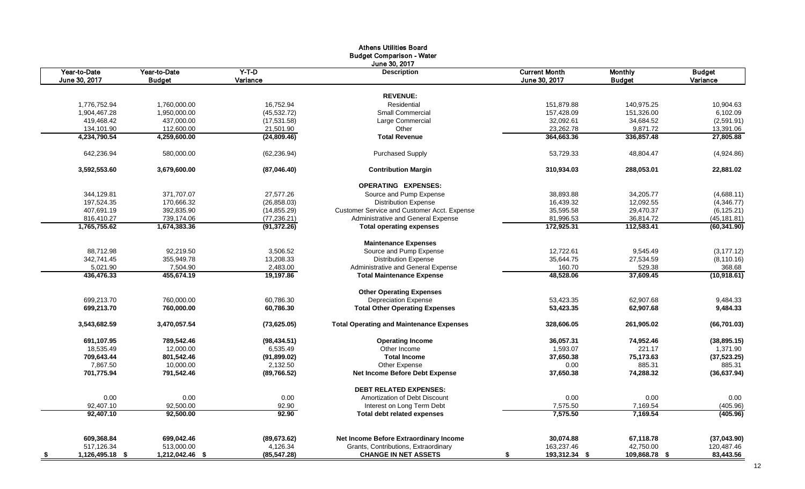|                                  |                            |                          | <b>Athens Utilities Board</b>                   |                         |                        |                        |  |  |
|----------------------------------|----------------------------|--------------------------|-------------------------------------------------|-------------------------|------------------------|------------------------|--|--|
| <b>Budget Comparison - Water</b> |                            |                          |                                                 |                         |                        |                        |  |  |
| Year-to-Date                     | Year-to-Date               | $Y-T-D$                  | June 30, 2017<br><b>Description</b>             | <b>Current Month</b>    | <b>Monthly</b>         | <b>Budget</b>          |  |  |
| June 30, 2017                    | <b>Budget</b>              | Variance                 |                                                 | June 30, 2017           | <b>Budget</b>          | Variance               |  |  |
|                                  |                            |                          |                                                 |                         |                        |                        |  |  |
|                                  |                            |                          | <b>REVENUE:</b>                                 |                         |                        |                        |  |  |
| 1,776,752.94                     | 1,760,000.00               | 16,752.94                | Residential                                     | 151,879.88              | 140,975.25             | 10,904.63              |  |  |
| 1,904,467.28                     | 1,950,000.00               | (45, 532.72)             | Small Commercial                                | 157,428.09              | 151,326.00             | 6,102.09               |  |  |
| 419,468.42                       | 437,000.00                 | (17, 531.58)             | Large Commercial                                | 32,092.61               | 34,684.52              | (2,591.91)             |  |  |
| 134,101.90<br>4,234,790.54       | 112,600.00<br>4,259,600.00 | 21,501.90<br>(24,809.46) | Other<br><b>Total Revenue</b>                   | 23,262.78<br>364,663.36 | 9,871.72<br>336,857.48 | 13,391.06<br>27,805.88 |  |  |
|                                  |                            |                          |                                                 |                         |                        |                        |  |  |
| 642,236.94                       | 580,000.00                 | (62, 236.94)             | <b>Purchased Supply</b>                         | 53,729.33               | 48,804.47              | (4,924.86)             |  |  |
| 3,592,553.60                     | 3,679,600.00               | (87,046.40)              | <b>Contribution Margin</b>                      | 310,934.03              | 288.053.01             | 22,881.02              |  |  |
|                                  |                            |                          | <b>OPERATING EXPENSES:</b>                      |                         |                        |                        |  |  |
| 344,129.81                       | 371,707.07                 | 27,577.26                | Source and Pump Expense                         | 38,893.88               | 34,205.77              | (4,688.11)             |  |  |
| 197,524.35                       | 170,666.32                 | (26, 858.03)             | <b>Distribution Expense</b>                     | 16,439.32               | 12,092.55              | (4,346.77)             |  |  |
| 407,691.19                       | 392,835.90                 | (14, 855.29)             | Customer Service and Customer Acct. Expense     | 35,595.58               | 29,470.37              | (6, 125.21)            |  |  |
| 816,410.27                       | 739,174.06                 | (77, 236.21)             | Administrative and General Expense              | 81,996.53               | 36,814.72              | (45, 181.81)           |  |  |
| 1,765,755.62                     | 1,674,383.36               | (91, 372.26)             | <b>Total operating expenses</b>                 | 172,925.31              | 112,583.41             | (60, 341.90)           |  |  |
|                                  |                            |                          | <b>Maintenance Expenses</b>                     |                         |                        |                        |  |  |
| 88,712.98                        | 92,219.50                  | 3,506.52                 | Source and Pump Expense                         | 12,722.61               | 9,545.49               | (3, 177.12)            |  |  |
| 342,741.45                       | 355,949.78                 | 13,208.33                | <b>Distribution Expense</b>                     | 35,644.75               | 27,534.59              | (8, 110.16)            |  |  |
| 5,021.90                         | 7,504.90                   | 2,483.00                 | Administrative and General Expense              | 160.70                  | 529.38                 | 368.68                 |  |  |
| 436,476.33                       | 455,674.19                 | 19,197.86                | <b>Total Maintenance Expense</b>                | 48,528.06               | 37,609.45              | (10, 918.61)           |  |  |
|                                  |                            |                          | <b>Other Operating Expenses</b>                 |                         |                        |                        |  |  |
| 699.213.70                       | 760,000.00                 | 60.786.30                | <b>Depreciation Expense</b>                     | 53.423.35               | 62.907.68              | 9,484.33               |  |  |
| 699,213.70                       | 760,000.00                 | 60,786.30                | <b>Total Other Operating Expenses</b>           | 53,423.35               | 62,907.68              | 9,484.33               |  |  |
| 3,543,682.59                     | 3,470,057.54               | (73,625.05)              | <b>Total Operating and Maintenance Expenses</b> | 328,606.05              | 261,905.02             | (66, 701.03)           |  |  |
| 691,107.95                       | 789,542.46                 | (98, 434.51)             | <b>Operating Income</b>                         | 36,057.31               | 74,952.46              | (38, 895.15)           |  |  |
| 18,535.49                        | 12,000.00                  | 6,535.49                 | Other Income                                    | 1,593.07                | 221.17                 | 1,371.90               |  |  |
| 709,643.44                       | 801,542.46                 | (91, 899.02)             | <b>Total Income</b>                             | 37,650.38               | 75,173.63              | (37, 523.25)           |  |  |
| 7,867.50                         | 10,000.00                  | 2,132.50                 | Other Expense                                   | 0.00                    | 885.31                 | 885.31                 |  |  |
| 701,775.94                       | 791,542.46                 | (89, 766.52)             | <b>Net Income Before Debt Expense</b>           | 37,650.38               | 74,288.32              | (36, 637.94)           |  |  |
|                                  |                            |                          | <b>DEBT RELATED EXPENSES:</b>                   |                         |                        |                        |  |  |
| 0.00                             | 0.00                       | 0.00                     | Amortization of Debt Discount                   | 0.00                    | 0.00                   | 0.00                   |  |  |
| 92,407.10                        | 92,500.00                  | 92.90                    | Interest on Long Term Debt                      | 7,575.50                | 7,169.54               | (405.96)               |  |  |
| 92,407.10                        | 92,500.00                  | 92.90                    | <b>Total debt related expenses</b>              | 7,575.50                | 7,169.54               | (405.96)               |  |  |
| 609,368.84                       | 699,042.46                 | (89, 673.62)             | Net Income Before Extraordinary Income          | 30,074.88               | 67,118.78              | (37,043.90)            |  |  |
| 517,126.34                       | 513,000.00                 | 4,126.34                 | Grants, Contributions, Extraordinary            | 163,237.46              | 42,750.00              | 120,487.46             |  |  |
| 1,126,495.18 \$                  | 1,212,042.46 \$            | (85, 547.28)             | <b>CHANGE IN NET ASSETS</b>                     | 193,312.34 \$<br>\$     | 109,868.78 \$          | 83,443.56              |  |  |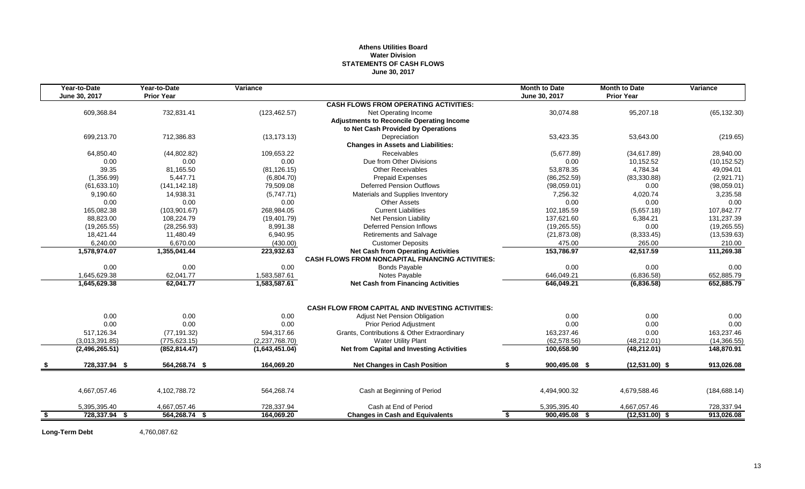## **Athens Utilities Board Water Division STATEMENTS OF CASH FLOWS June 30, 2017**

|      | Year-to-Date   | Year-to-Date      | Variance       |                                                         | <b>Month to Date</b> | <b>Month to Date</b> | Variance      |
|------|----------------|-------------------|----------------|---------------------------------------------------------|----------------------|----------------------|---------------|
|      | June 30, 2017  | <b>Prior Year</b> |                |                                                         | June 30, 2017        | <b>Prior Year</b>    |               |
|      |                |                   |                | <b>CASH FLOWS FROM OPERATING ACTIVITIES:</b>            |                      |                      |               |
|      | 609,368.84     | 732,831.41        | (123, 462.57)  | Net Operating Income                                    | 30,074.88            | 95,207.18            | (65, 132.30)  |
|      |                |                   |                | <b>Adjustments to Reconcile Operating Income</b>        |                      |                      |               |
|      |                |                   |                | to Net Cash Provided by Operations                      |                      |                      |               |
|      | 699,213.70     | 712,386.83        | (13, 173.13)   | Depreciation                                            | 53,423.35            | 53,643.00            | (219.65)      |
|      |                |                   |                | <b>Changes in Assets and Liabilities:</b>               |                      |                      |               |
|      | 64,850.40      | (44,802.82)       | 109.653.22     | <b>Receivables</b>                                      | (5,677.89)           | (34,617.89)          | 28,940.00     |
|      | 0.00           | 0.00              | 0.00           | Due from Other Divisions                                | 0.00                 | 10,152.52            | (10, 152.52)  |
|      | 39.35          | 81,165.50         | (81, 126.15)   | <b>Other Receivables</b>                                | 53,878.35            | 4,784.34             | 49,094.01     |
|      | (1,356.99)     | 5,447.71          | (6,804.70)     | <b>Prepaid Expenses</b>                                 | (86, 252.59)         | (83, 330.88)         | (2,921.71)    |
|      | (61, 633.10)   | (141, 142.18)     | 79,509.08      | <b>Deferred Pension Outflows</b>                        | (98,059.01)          | 0.00                 | (98,059.01)   |
|      | 9,190.60       | 14,938.31         | (5,747.71)     | Materials and Supplies Inventory                        | 7,256.32             | 4,020.74             | 3,235.58      |
|      | 0.00           | 0.00              | 0.00           | <b>Other Assets</b>                                     | 0.00                 | 0.00                 | 0.00          |
|      | 165,082.38     | (103, 901.67)     | 268,984.05     | <b>Current Liabilities</b>                              | 102,185.59           | (5,657.18)           | 107,842.77    |
|      | 88,823.00      | 108,224.79        | (19, 401.79)   | <b>Net Pension Liability</b>                            | 137,621.60           | 6,384.21             | 131,237.39    |
|      | (19, 265.55)   | (28, 256.93)      | 8,991.38       | <b>Deferred Pension Inflows</b>                         | (19, 265.55)         | 0.00                 | (19, 265.55)  |
|      | 18,421.44      | 11,480.49         | 6,940.95       | <b>Retirements and Salvage</b>                          | (21, 873.08)         | (8,333.45)           | (13,539.63)   |
|      | 6,240.00       | 6,670.00          | (430.00)       | <b>Customer Deposits</b>                                | 475.00               | 265.00               | 210.00        |
|      | 1,578,974.07   | 1,355,041.44      | 223,932.63     | <b>Net Cash from Operating Activities</b>               | 153,786.97           | 42,517.59            | 111,269.38    |
|      |                |                   |                | <b>CASH FLOWS FROM NONCAPITAL FINANCING ACTIVITIES:</b> |                      |                      |               |
|      | 0.00           | 0.00              | 0.00           | <b>Bonds Payable</b>                                    | 0.00                 | 0.00                 | 0.00          |
|      | 1,645,629.38   | 62,041.77         | 1,583,587.61   | Notes Payable                                           | 646,049.21           | (6,836.58)           | 652,885.79    |
|      | 1,645,629.38   | 62,041.77         | 1,583,587.61   | <b>Net Cash from Financing Activities</b>               | 646,049.21           | (6,836.58)           | 652,885.79    |
|      |                |                   |                |                                                         |                      |                      |               |
|      |                |                   |                | <b>CASH FLOW FROM CAPITAL AND INVESTING ACTIVITIES:</b> |                      |                      |               |
|      | 0.00           | 0.00              | 0.00           | Adjust Net Pension Obligation                           | 0.00                 | 0.00                 | 0.00          |
|      | 0.00           | 0.00              | 0.00           | <b>Prior Period Adjustment</b>                          | 0.00                 | 0.00                 | 0.00          |
|      | 517,126.34     | (77, 191.32)      | 594,317.66     | Grants, Contributions & Other Extraordinary             | 163,237.46           | 0.00                 | 163,237.46    |
|      | (3,013,391.85) | (775, 623.15)     | (2,237,768.70) | <b>Water Utility Plant</b>                              | (62, 578.56)         | (48, 212.01)         | (14, 366.55)  |
|      | (2,496,265.51) | (852, 814.47)     | (1,643,451.04) | <b>Net from Capital and Investing Activities</b>        | 100,658.90           | (48, 212.01)         | 148.870.91    |
|      | 728,337.94 \$  | 564,268.74 \$     | 164,069.20     | <b>Net Changes in Cash Position</b>                     | 900,495.08 \$<br>\$  | $(12,531.00)$ \$     | 913,026.08    |
|      |                |                   |                |                                                         |                      |                      |               |
|      | 4,667,057.46   | 4,102,788.72      | 564,268.74     | Cash at Beginning of Period                             | 4,494,900.32         | 4,679,588.46         | (184, 688.14) |
|      | 5,395,395.40   | 4,667,057.46      | 728,337.94     | Cash at End of Period                                   | 5,395,395.40         | 4,667,057.46         | 728,337.94    |
| - \$ | 728,337.94 \$  | 564,268.74 \$     | 164,069.20     | <b>Changes in Cash and Equivalents</b>                  | 900,495.08 \$<br>-\$ | $(12,531.00)$ \$     | 913,026.08    |
|      |                |                   |                |                                                         |                      |                      |               |

**Long-Term Debt** 4,760,087.62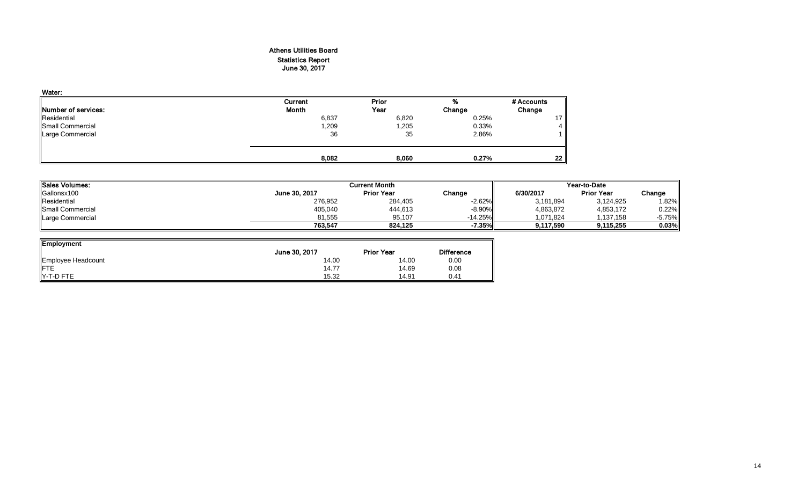## Athens Utilities Board Statistics Report June 30, 2017

| Water:                      |              |       |        |            |
|-----------------------------|--------------|-------|--------|------------|
|                             | Current      | Prior | %      | # Accounts |
| <b>INumber of services:</b> | <b>Month</b> | Year  | Change | Change     |
| Residential                 | 6,837        | 6,820 | 0.25%  | 17         |
| Small Commercial            | 1,209        | 1,205 | 0.33%  | 4          |
| <b>Large Commercial</b>     | 36           | 35    | 2.86%  |            |
|                             |              |       |        |            |
|                             | 8,082        | 8,060 | 0.27%  | $22 \,$    |

| <b>Sales Volumes:</b> |               | Year-to-Date      |            |           |                   |          |
|-----------------------|---------------|-------------------|------------|-----------|-------------------|----------|
| Gallonsx100           | June 30, 2017 | <b>Prior Year</b> | Change     | 6/30/2017 | <b>Prior Year</b> | Change   |
| Residential           | 276,952       | 284,405           | $-2.62%$   | 3,181,894 | 3,124,925         | 1.82%    |
| Small Commercial      | 405,040       | 444,613           | -8.90%     | 4,863,872 | 4,853,172         | 0.22%    |
| Large Commercial      | 81.555        | 95.107            | $-14.25\%$ | 1.071.824 | 1,137,158         | $-5.75%$ |
|                       | 763.547       | 824.125           | -7.35%I    | 9.117.590 | 9.115.255         | 0.03%    |

| <b>Employment</b>  |               |                   |                   |
|--------------------|---------------|-------------------|-------------------|
|                    | June 30, 2017 | <b>Prior Year</b> | <b>Difference</b> |
| Employee Headcount | 14.00         | 14.00             | 0.00              |
| <b>IFTE</b>        | 14.77         | 14.69             | 0.08              |
| Y-T-D FTE          | 15.32         | 14.91             | 0.41              |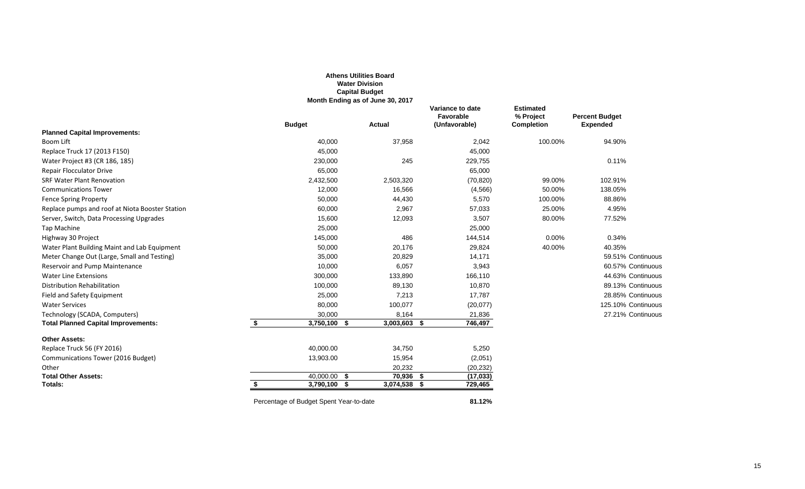|                                                 |                                         | <b>Athens Utilities Board</b><br><b>Water Division</b><br><b>Capital Budget</b><br>Month Ending as of June 30, 2017 |                                                |                                                    |                                          |
|-------------------------------------------------|-----------------------------------------|---------------------------------------------------------------------------------------------------------------------|------------------------------------------------|----------------------------------------------------|------------------------------------------|
|                                                 | <b>Budget</b>                           | <b>Actual</b>                                                                                                       | Variance to date<br>Favorable<br>(Unfavorable) | <b>Estimated</b><br>% Project<br><b>Completion</b> | <b>Percent Budget</b><br><b>Expended</b> |
| <b>Planned Capital Improvements:</b>            |                                         |                                                                                                                     |                                                |                                                    |                                          |
| Boom Lift                                       | 40,000                                  | 37,958                                                                                                              | 2,042                                          | 100.00%                                            | 94.90%                                   |
| Replace Truck 17 (2013 F150)                    | 45,000                                  |                                                                                                                     | 45,000                                         |                                                    |                                          |
| Water Project #3 (CR 186, 185)                  | 230,000                                 | 245                                                                                                                 | 229,755                                        |                                                    | 0.11%                                    |
| <b>Repair Flocculator Drive</b>                 | 65,000                                  |                                                                                                                     | 65,000                                         |                                                    |                                          |
| <b>SRF Water Plant Renovation</b>               | 2,432,500                               | 2,503,320                                                                                                           | (70, 820)                                      | 99.00%                                             | 102.91%                                  |
| <b>Communications Tower</b>                     | 12,000                                  | 16,566                                                                                                              | (4, 566)                                       | 50.00%                                             | 138.05%                                  |
| <b>Fence Spring Property</b>                    | 50,000                                  | 44,430                                                                                                              | 5,570                                          | 100.00%                                            | 88.86%                                   |
| Replace pumps and roof at Niota Booster Station | 60,000                                  | 2,967                                                                                                               | 57,033                                         | 25.00%                                             | 4.95%                                    |
| Server, Switch, Data Processing Upgrades        | 15,600                                  | 12,093                                                                                                              | 3,507                                          | 80.00%                                             | 77.52%                                   |
| Tap Machine                                     | 25,000                                  |                                                                                                                     | 25,000                                         |                                                    |                                          |
| Highway 30 Project                              | 145,000                                 | 486                                                                                                                 | 144,514                                        | 0.00%                                              | 0.34%                                    |
| Water Plant Building Maint and Lab Equipment    | 50,000                                  | 20,176                                                                                                              | 29,824                                         | 40.00%                                             | 40.35%                                   |
| Meter Change Out (Large, Small and Testing)     | 35,000                                  | 20,829                                                                                                              | 14,171                                         |                                                    | 59.51% Continuous                        |
| Reservoir and Pump Maintenance                  | 10,000                                  | 6,057                                                                                                               | 3,943                                          |                                                    | 60.57% Continuous                        |
| <b>Water Line Extensions</b>                    | 300,000                                 | 133,890                                                                                                             | 166,110                                        |                                                    | 44.63% Continuous                        |
| Distribution Rehabilitation                     | 100,000                                 | 89,130                                                                                                              | 10,870                                         |                                                    | 89.13% Continuous                        |
| Field and Safety Equipment                      | 25,000                                  | 7,213                                                                                                               | 17,787                                         |                                                    | 28.85% Continuous                        |
| <b>Water Services</b>                           | 80,000                                  | 100,077                                                                                                             | (20, 077)                                      |                                                    | 125.10% Continuous                       |
| Technology (SCADA, Computers)                   | 30,000                                  | 8,164                                                                                                               | 21,836                                         |                                                    | 27.21% Continuous                        |
| <b>Total Planned Capital Improvements:</b>      | \$<br>3,750,100 \$                      | 3,003,603 \$                                                                                                        | 746,497                                        |                                                    |                                          |
| <b>Other Assets:</b>                            |                                         |                                                                                                                     |                                                |                                                    |                                          |
| Replace Truck 56 (FY 2016)                      | 40,000.00                               | 34,750                                                                                                              | 5,250                                          |                                                    |                                          |
| Communications Tower (2016 Budget)              | 13,903.00                               | 15,954                                                                                                              | (2,051)                                        |                                                    |                                          |
| Other                                           |                                         | 20,232                                                                                                              | (20, 232)                                      |                                                    |                                          |
| <b>Total Other Assets:</b>                      | $40,000.00$ \$                          | $70,936$ \$                                                                                                         | (17, 033)                                      |                                                    |                                          |
| <b>Totals:</b>                                  | $3,790,100$ \$<br>\$                    | $3,074,538$ \$                                                                                                      | 729,465                                        |                                                    |                                          |
|                                                 | Percentage of Budget Spent Year-to-date |                                                                                                                     | 81.12%                                         |                                                    |                                          |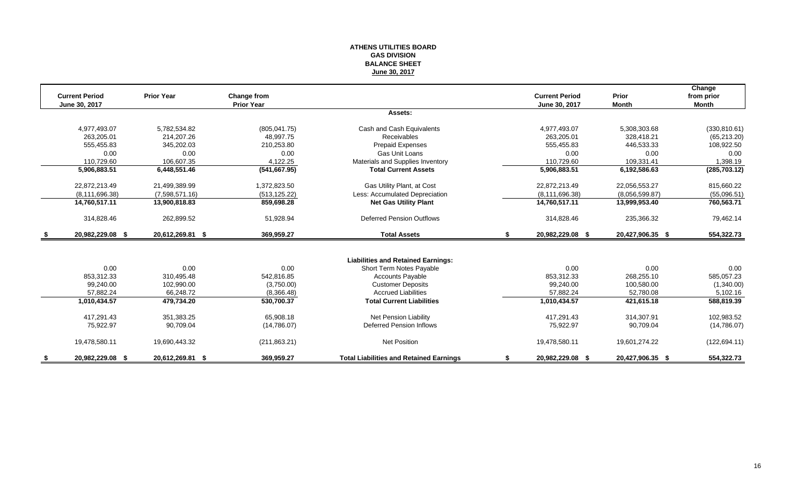## **ATHENS UTILITIES BOARD GAS DIVISION BALANCE SHEET June 30, 2017**

|      |                       |                   |                                         |                                                |    |                       |                  | Change        |
|------|-----------------------|-------------------|-----------------------------------------|------------------------------------------------|----|-----------------------|------------------|---------------|
|      | <b>Current Period</b> | <b>Prior Year</b> | <b>Change from</b><br><b>Prior Year</b> |                                                |    | <b>Current Period</b> | Prior            | from prior    |
|      | June 30, 2017         |                   |                                         | Assets:                                        |    | June 30, 2017         | <b>Month</b>     | <b>Month</b>  |
|      |                       |                   |                                         |                                                |    |                       |                  |               |
|      | 4,977,493.07          | 5,782,534.82      | (805, 041.75)                           | Cash and Cash Equivalents                      |    | 4,977,493.07          | 5,308,303.68     | (330, 810.61) |
|      | 263,205.01            | 214.207.26        | 48.997.75                               | <b>Receivables</b>                             |    | 263.205.01            | 328.418.21       | (65, 213.20)  |
|      | 555,455.83            | 345,202.03        | 210.253.80                              | <b>Prepaid Expenses</b>                        |    | 555.455.83            | 446,533.33       | 108,922.50    |
|      | 0.00                  | 0.00              | 0.00                                    | Gas Unit Loans                                 |    | 0.00                  | 0.00             | 0.00          |
|      | 110,729.60            | 106,607.35        | 4,122.25                                | Materials and Supplies Inventory               |    | 110.729.60            | 109,331.41       | 1,398.19      |
|      | 5,906,883.51          | 6,448,551.46      | (541, 667.95)                           | <b>Total Current Assets</b>                    |    | 5,906,883.51          | 6,192,586.63     | (285, 703.12) |
|      | 22,872,213.49         | 21,499,389.99     | 1,372,823.50                            | Gas Utility Plant, at Cost                     |    | 22,872,213.49         | 22,056,553.27    | 815,660.22    |
|      | (8, 111, 696.38)      | (7,598,571.16)    | (513, 125.22)                           | Less: Accumulated Depreciation                 |    | (8, 111, 696.38)      | (8.056.599.87)   | (55,096.51)   |
|      | 14,760,517.11         | 13,900,818.83     | 859,698.28                              | <b>Net Gas Utility Plant</b>                   |    | 14,760,517.11         | 13,999,953.40    | 760,563.71    |
|      | 314,828.46            | 262,899.52        | 51,928.94                               | <b>Deferred Pension Outflows</b>               |    | 314,828.46            | 235,366.32       | 79,462.14     |
| - \$ | 20,982,229.08 \$      | 20,612,269.81 \$  | 369,959.27                              | <b>Total Assets</b>                            | S. | 20,982,229.08 \$      | 20,427,906.35 \$ | 554,322.73    |
|      |                       |                   |                                         |                                                |    |                       |                  |               |
|      |                       |                   |                                         | <b>Liabilities and Retained Earnings:</b>      |    |                       |                  |               |
|      | 0.00                  | 0.00              | 0.00                                    | Short Term Notes Payable                       |    | 0.00                  | 0.00             | 0.00          |
|      | 853,312.33            | 310,495.48        | 542,816.85                              | <b>Accounts Payable</b>                        |    | 853,312.33            | 268,255.10       | 585,057.23    |
|      | 99,240.00             | 102,990.00        | (3,750.00)                              | <b>Customer Deposits</b>                       |    | 99,240.00             | 100,580.00       | (1,340.00)    |
|      | 57.882.24             | 66.248.72         | (8,366.48)                              | <b>Accrued Liabilities</b>                     |    | 57.882.24             | 52.780.08        | 5,102.16      |
|      | 1,010,434.57          | 479,734.20        | 530,700.37                              | <b>Total Current Liabilities</b>               |    | 1,010,434.57          | 421,615.18       | 588,819.39    |
|      | 417.291.43            | 351.383.25        | 65.908.18                               | Net Pension Liability                          |    | 417.291.43            | 314.307.91       | 102,983.52    |
|      | 75,922.97             | 90,709.04         | (14,786.07)                             | <b>Deferred Pension Inflows</b>                |    | 75,922.97             | 90,709.04        | (14,786.07)   |
|      | 19,478,580.11         | 19,690,443.32     | (211, 863.21)                           | <b>Net Position</b>                            |    | 19,478,580.11         | 19,601,274.22    | (122, 694.11) |
|      | 20,982,229.08 \$      | 20,612,269.81 \$  | 369,959.27                              | <b>Total Liabilities and Retained Earnings</b> |    | 20,982,229.08 \$      | 20,427,906.35 \$ | 554,322.73    |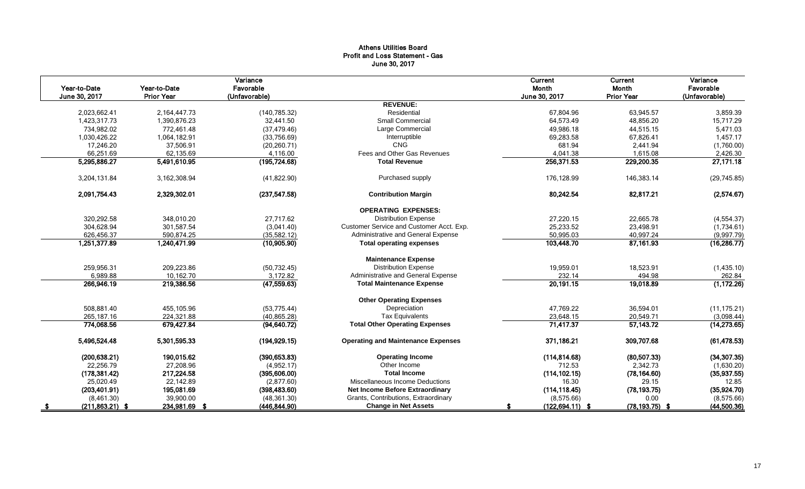## Athens Utilities Board Profit and Loss Statement - Gas June 30, 2017

| Year-to-Date<br>June 30, 2017 | Year-to-Date<br><b>Prior Year</b> | Variance<br>Favorable<br>(Unfavorable) |                                           | Current<br>Month<br>June 30, 2017 | Current<br>Month<br><b>Prior Year</b> | Variance<br>Favorable<br>(Unfavorable) |
|-------------------------------|-----------------------------------|----------------------------------------|-------------------------------------------|-----------------------------------|---------------------------------------|----------------------------------------|
|                               |                                   |                                        | <b>REVENUE:</b>                           |                                   |                                       |                                        |
| 2,023,662.41                  | 2,164,447.73                      | (140, 785.32)                          | Residential                               | 67,804.96                         | 63.945.57                             | 3,859.39                               |
| 1.423.317.73                  | 1.390.876.23                      | 32.441.50                              | <b>Small Commercial</b>                   | 64.573.49                         | 48.856.20                             | 15,717.29                              |
| 734,982.02                    | 772,461.48                        | (37, 479.46)                           | Large Commercial                          | 49,986.18                         | 44,515.15                             | 5,471.03                               |
| 1,030,426.22                  | 1,064,182.91                      | (33,756.69)                            | Interruptible                             | 69,283.58                         | 67,826.41                             | 1,457.17                               |
| 17,246.20                     | 37,506.91                         | (20, 260.71)                           | <b>CNG</b>                                | 681.94                            | 2,441.94                              | (1,760.00)                             |
| 66,251.69                     | 62,135.69                         | 4,116.00                               | Fees and Other Gas Revenues               | 4,041.38                          | 1.615.08                              | 2,426.30                               |
| 5,295,886.27                  | 5,491,610.95                      | (195, 724.68)                          | <b>Total Revenue</b>                      | 256,371.53                        | 229,200.35                            | 27,171.18                              |
| 3,204,131.84                  | 3,162,308.94                      | (41,822.90)                            | Purchased supply                          | 176,128.99                        | 146,383.14                            | (29, 745.85)                           |
| 2,091,754.43                  | 2,329,302.01                      | (237, 547.58)                          | <b>Contribution Margin</b>                | 80.242.54                         | 82,817.21                             | (2,574.67)                             |
|                               |                                   |                                        | <b>OPERATING EXPENSES:</b>                |                                   |                                       |                                        |
| 320,292.58                    | 348,010.20                        | 27,717.62                              | <b>Distribution Expense</b>               | 27,220.15                         | 22,665.78                             | (4,554.37)                             |
| 304,628.94                    | 301,587.54                        | (3,041.40)                             | Customer Service and Customer Acct. Exp.  | 25,233.52                         | 23,498.91                             | (1,734.61)                             |
| 626,456.37                    | 590,874.25                        | (35,582.12)                            | Administrative and General Expense        | 50,995.03                         | 40,997.24                             | (9,997.79)                             |
| 1,251,377.89                  | 1,240,471.99                      | (10,905.90)                            | <b>Total operating expenses</b>           | 103,448.70                        | 87,161.93                             | (16, 286.77)                           |
|                               |                                   |                                        | <b>Maintenance Expense</b>                |                                   |                                       |                                        |
| 259,956.31                    | 209,223.86                        | (50, 732.45)                           | <b>Distribution Expense</b>               | 19,959.01                         | 18,523.91                             | (1,435.10)                             |
| 6,989.88                      | 10,162.70                         | 3.172.82                               | Administrative and General Expense        | 232.14                            | 494.98                                | 262.84                                 |
| 266,946.19                    | 219,386.56                        | (47, 559.63)                           | <b>Total Maintenance Expense</b>          | 20,191.15                         | 19,018.89                             | (1, 172.26)                            |
|                               |                                   |                                        | <b>Other Operating Expenses</b>           |                                   |                                       |                                        |
| 508,881.40                    | 455,105.96                        | (53, 775.44)                           | Depreciation                              | 47,769.22                         | 36,594.01                             | (11, 175.21)                           |
| 265,187.16                    | 224,321.88                        | (40, 865.28)                           | <b>Tax Equivalents</b>                    | 23,648.15                         | 20,549.71                             | (3,098.44)                             |
| 774,068.56                    | 679,427.84                        | (94, 640.72)                           | <b>Total Other Operating Expenses</b>     | 71,417.37                         | 57,143.72                             | (14, 273.65)                           |
| 5,496,524.48                  | 5,301,595.33                      | (194, 929.15)                          | <b>Operating and Maintenance Expenses</b> | 371,186.21                        | 309,707.68                            | (61, 478.53)                           |
| (200, 638.21)                 | 190,015.62                        | (390, 653.83)                          | <b>Operating Income</b>                   | (114, 814.68)                     | (80, 507.33)                          | (34, 307.35)                           |
| 22,256.79                     | 27,208.96                         | (4,952.17)                             | Other Income                              | 712.53                            | 2,342.73                              | (1,630.20)                             |
| (178, 381.42)                 | 217,224.58                        | (395,606.00)                           | <b>Total Income</b>                       | (114, 102.15)                     | (78, 164.60)                          | (35, 937.55)                           |
| 25,020.49                     | 22.142.89                         | (2,877.60)                             | Miscellaneous Income Deductions           | 16.30                             | 29.15                                 | 12.85                                  |
| (203, 401.91)                 | 195,081.69                        | (398, 483.60)                          | <b>Net Income Before Extraordinary</b>    | (114, 118.45)                     | (78, 193.75)                          | (35,924.70)                            |
| (8,461.30)                    | 39,900.00                         | (48, 361.30)                           | Grants, Contributions, Extraordinary      | (8,575.66)                        | 0.00                                  | (8,575.66)                             |
| $(211,863.21)$ \$<br>- S      | 234,981.69 \$                     | (446, 844.90)                          | <b>Change in Net Assets</b>               | $(122, 694.11)$ \$                | $(78, 193.75)$ \$                     | (44,500.36)                            |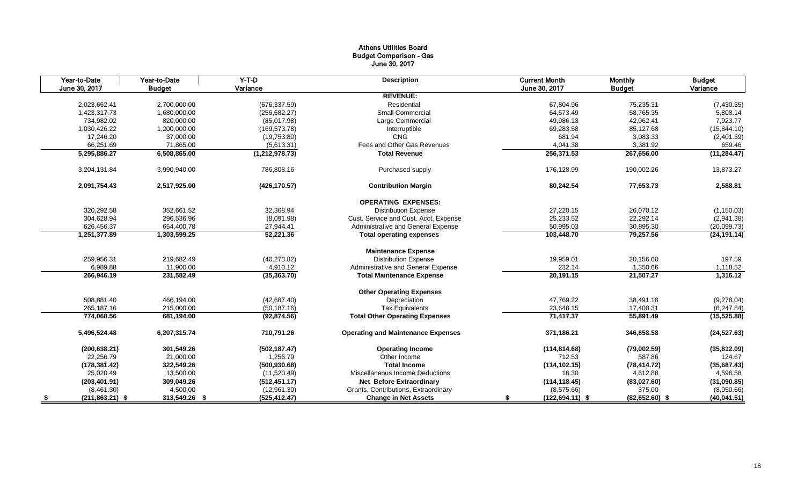## Athens Utilities Board Budget Comparison - Gas June 30, 2017

|      | Year-to-Date       | Year-to-Date  | $Y-T-D$          | <b>Description</b>                        | <b>Current Month</b>     | <b>Monthly</b>   | <b>Budget</b> |
|------|--------------------|---------------|------------------|-------------------------------------------|--------------------------|------------------|---------------|
|      | June 30, 2017      | <b>Budget</b> | Variance         |                                           | June 30, 2017            | <b>Budget</b>    | Variance      |
|      |                    |               |                  | <b>REVENUE:</b>                           |                          |                  |               |
|      | 2,023,662.41       | 2,700,000.00  | (676, 337.59)    | Residential                               | 67,804.96                | 75,235.31        | (7, 430.35)   |
|      | 1,423,317.73       | 1,680,000.00  | (256, 682.27)    | Small Commercial                          | 64,573.49                | 58,765.35        | 5,808.14      |
|      | 734,982.02         | 820,000.00    | (85,017.98)      | Large Commercial                          | 49,986.18                | 42,062.41        | 7,923.77      |
|      | 1,030,426.22       | 1,200,000.00  | (169.573.78)     | Interruptible                             | 69,283.58                | 85,127.68        | (15, 844.10)  |
|      | 17,246.20          | 37,000.00     | (19,753.80)      | <b>CNG</b>                                | 681.94                   | 3,083.33         | (2,401.39)    |
|      | 66,251.69          | 71,865.00     | (5,613.31)       | Fees and Other Gas Revenues               | 4,041.38                 | 3,381.92         | 659.46        |
|      | 5,295,886.27       | 6,508,865.00  | (1, 212, 978.73) | <b>Total Revenue</b>                      | 256,371.53               | 267,656.00       | (11, 284.47)  |
|      | 3,204,131.84       | 3,990,940.00  | 786,808.16       | Purchased supply                          | 176,128.99               | 190,002.26       | 13,873.27     |
|      | 2,091,754.43       | 2,517,925.00  | (426, 170.57)    | <b>Contribution Margin</b>                | 80,242.54                | 77,653.73        | 2,588.81      |
|      |                    |               |                  | <b>OPERATING EXPENSES:</b>                |                          |                  |               |
|      | 320,292.58         | 352,661.52    | 32,368.94        | <b>Distribution Expense</b>               | 27,220.15                | 26,070.12        | (1, 150.03)   |
|      | 304.628.94         | 296,536.96    | (8,091.98)       | Cust. Service and Cust. Acct. Expense     | 25,233.52                | 22.292.14        | (2,941.38)    |
|      | 626,456.37         | 654,400.78    | 27,944.41        | Administrative and General Expense        | 50,995.03                | 30,895.30        | (20,099.73)   |
|      | 1,251,377.89       | 1,303,599.25  | 52,221.36        | <b>Total operating expenses</b>           | 103,448.70               | 79,257.56        | (24, 191.14)  |
|      |                    |               |                  | <b>Maintenance Expense</b>                |                          |                  |               |
|      | 259,956.31         | 219,682.49    | (40, 273.82)     | <b>Distribution Expense</b>               | 19,959.01                | 20,156.60        | 197.59        |
|      | 6,989.88           | 11,900.00     | 4,910.12         | Administrative and General Expense        | 232.14                   | 1,350.66         | 1,118.52      |
|      | 266,946.19         | 231,582.49    | (35,363.70)      | <b>Total Maintenance Expense</b>          | 20,191.15                | 21,507.27        | 1,316.12      |
|      |                    |               |                  | <b>Other Operating Expenses</b>           |                          |                  |               |
|      | 508,881.40         | 466,194.00    | (42, 687.40)     | Depreciation                              | 47,769.22                | 38,491.18        | (9,278.04)    |
|      | 265,187.16         | 215,000.00    | (50, 187.16)     | <b>Tax Equivalents</b>                    | 23,648.15                | 17,400.31        | (6,247.84)    |
|      | 774,068.56         | 681,194.00    | (92, 874.56)     | <b>Total Other Operating Expenses</b>     | 71,417.37                | 55,891.49        | (15, 525.88)  |
|      | 5,496,524.48       | 6,207,315.74  | 710,791.26       | <b>Operating and Maintenance Expenses</b> | 371,186.21               | 346,658.58       | (24, 527.63)  |
|      | (200, 638.21)      | 301,549.26    | (502, 187.47)    | <b>Operating Income</b>                   | (114, 814.68)            | (79,002.59)      | (35,812.09)   |
|      | 22,256.79          | 21,000.00     | 1,256.79         | Other Income                              | 712.53                   | 587.86           | 124.67        |
|      | (178, 381.42)      | 322,549.26    | (500, 930.68)    | <b>Total Income</b>                       | (114, 102.15)            | (78, 414.72)     | (35,687.43)   |
|      | 25,020.49          | 13,500.00     | (11,520.49)      | Miscellaneous Income Deductions           | 16.30                    | 4,612.88         | 4,596.58      |
|      | (203, 401.91)      | 309,049.26    | (512, 451.17)    | <b>Net Before Extraordinary</b>           | (114, 118.45)            | (83,027.60)      | (31,090.85)   |
|      | (8,461.30)         | 4,500.00      | (12,961.30)      | Grants, Contributions, Extraordinary      | (8,575.66)               | 375.00           | (8,950.66)    |
| - \$ | $(211, 863.21)$ \$ | 313,549.26 \$ | (525, 412.47)    | <b>Change in Net Assets</b>               | \$<br>$(122, 694.11)$ \$ | $(82,652.60)$ \$ | (40, 041.51)  |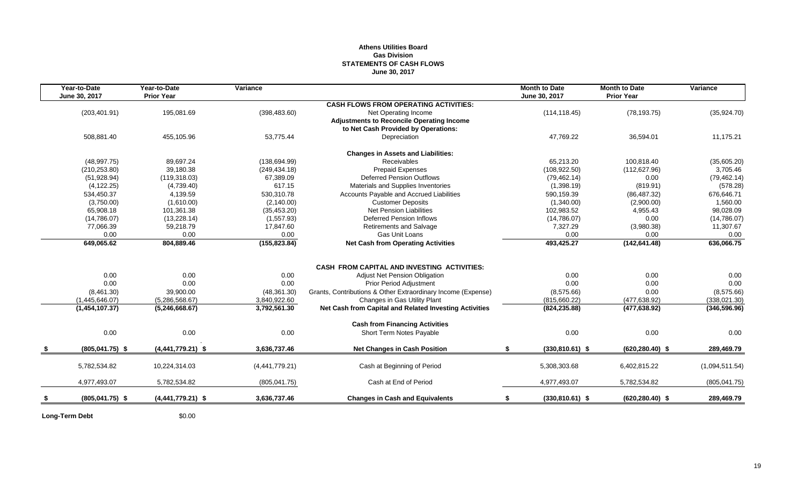## **Athens Utilities Board Gas Division STATEMENTS OF CASH FLOWS June 30, 2017**

| Year-to-Date<br>June 30, 2017 | Year-to-Date<br><b>Prior Year</b>                                                                                | Variance                                                                                                         |                                                                                                                             | <b>Month to Date</b><br>June 30, 2017                                                                                                                                                                                                                                                                                                                                                                                                | <b>Month to Date</b><br><b>Prior Year</b>                                                                   | Variance                                                                                                        |
|-------------------------------|------------------------------------------------------------------------------------------------------------------|------------------------------------------------------------------------------------------------------------------|-----------------------------------------------------------------------------------------------------------------------------|--------------------------------------------------------------------------------------------------------------------------------------------------------------------------------------------------------------------------------------------------------------------------------------------------------------------------------------------------------------------------------------------------------------------------------------|-------------------------------------------------------------------------------------------------------------|-----------------------------------------------------------------------------------------------------------------|
|                               |                                                                                                                  |                                                                                                                  | <b>CASH FLOWS FROM OPERATING ACTIVITIES:</b>                                                                                |                                                                                                                                                                                                                                                                                                                                                                                                                                      |                                                                                                             |                                                                                                                 |
| (203, 401.91)                 | 195,081.69                                                                                                       | (398, 483.60)                                                                                                    | Net Operating Income                                                                                                        | (114, 118.45)                                                                                                                                                                                                                                                                                                                                                                                                                        | (78, 193.75)                                                                                                | (35, 924.70)                                                                                                    |
|                               |                                                                                                                  |                                                                                                                  |                                                                                                                             |                                                                                                                                                                                                                                                                                                                                                                                                                                      |                                                                                                             |                                                                                                                 |
|                               |                                                                                                                  |                                                                                                                  |                                                                                                                             |                                                                                                                                                                                                                                                                                                                                                                                                                                      |                                                                                                             |                                                                                                                 |
|                               |                                                                                                                  |                                                                                                                  |                                                                                                                             |                                                                                                                                                                                                                                                                                                                                                                                                                                      |                                                                                                             | 11,175.21                                                                                                       |
|                               |                                                                                                                  |                                                                                                                  | <b>Changes in Assets and Liabilities:</b>                                                                                   |                                                                                                                                                                                                                                                                                                                                                                                                                                      |                                                                                                             |                                                                                                                 |
| (48,997.75)                   | 89,697.24                                                                                                        | (138, 694.99)                                                                                                    | Receivables                                                                                                                 | 65,213.20                                                                                                                                                                                                                                                                                                                                                                                                                            | 100.818.40                                                                                                  | (35,605.20)                                                                                                     |
| (210, 253.80)                 | 39,180.38                                                                                                        | (249, 434.18)                                                                                                    | Prepaid Expenses                                                                                                            | (108, 922.50)                                                                                                                                                                                                                                                                                                                                                                                                                        | (112, 627.96)                                                                                               | 3,705.46                                                                                                        |
| (51, 928.94)                  | (119, 318.03)                                                                                                    | 67,389.09                                                                                                        | <b>Deferred Pension Outflows</b>                                                                                            | (79, 462.14)                                                                                                                                                                                                                                                                                                                                                                                                                         | 0.00                                                                                                        | (79, 462.14)                                                                                                    |
| (4, 122.25)                   | (4,739.40)                                                                                                       | 617.15                                                                                                           | Materials and Supplies Inventories                                                                                          | (1,398.19)                                                                                                                                                                                                                                                                                                                                                                                                                           | (819.91)                                                                                                    | (578.28)                                                                                                        |
| 534,450.37                    | 4.139.59                                                                                                         | 530.310.78                                                                                                       | Accounts Payable and Accrued Liabilities                                                                                    | 590.159.39                                                                                                                                                                                                                                                                                                                                                                                                                           | (86, 487.32)                                                                                                | 676.646.71                                                                                                      |
| (3,750.00)                    | (1,610.00)                                                                                                       | (2, 140.00)                                                                                                      | <b>Customer Deposits</b>                                                                                                    | (1,340.00)                                                                                                                                                                                                                                                                                                                                                                                                                           | (2,900.00)                                                                                                  | 1,560.00                                                                                                        |
| 65,908.18                     | 101,361.38                                                                                                       | (35, 453.20)                                                                                                     | <b>Net Pension Liabilities</b>                                                                                              | 102,983.52                                                                                                                                                                                                                                                                                                                                                                                                                           | 4,955.43                                                                                                    | 98,028.09                                                                                                       |
| (14,786.07)                   | (13,228.14)                                                                                                      | (1,557.93)                                                                                                       | <b>Deferred Pension Inflows</b>                                                                                             | (14,786.07)                                                                                                                                                                                                                                                                                                                                                                                                                          | 0.00                                                                                                        | (14,786.07)                                                                                                     |
| 77,066.39                     | 59,218.79                                                                                                        | 17,847.60                                                                                                        | <b>Retirements and Salvage</b>                                                                                              | 7,327.29                                                                                                                                                                                                                                                                                                                                                                                                                             | (3,980.38)                                                                                                  | 11,307.67                                                                                                       |
| 0.00                          | 0.00                                                                                                             | 0.00                                                                                                             | Gas Unit Loans                                                                                                              | 0.00                                                                                                                                                                                                                                                                                                                                                                                                                                 | 0.00                                                                                                        | 0.00                                                                                                            |
|                               |                                                                                                                  |                                                                                                                  | <b>Net Cash from Operating Activities</b>                                                                                   |                                                                                                                                                                                                                                                                                                                                                                                                                                      | (142, 641.48)                                                                                               | 636,066.75                                                                                                      |
|                               |                                                                                                                  |                                                                                                                  |                                                                                                                             |                                                                                                                                                                                                                                                                                                                                                                                                                                      |                                                                                                             |                                                                                                                 |
|                               |                                                                                                                  |                                                                                                                  |                                                                                                                             |                                                                                                                                                                                                                                                                                                                                                                                                                                      |                                                                                                             |                                                                                                                 |
|                               |                                                                                                                  |                                                                                                                  |                                                                                                                             |                                                                                                                                                                                                                                                                                                                                                                                                                                      |                                                                                                             | 0.00                                                                                                            |
|                               |                                                                                                                  |                                                                                                                  |                                                                                                                             |                                                                                                                                                                                                                                                                                                                                                                                                                                      |                                                                                                             | 0.00                                                                                                            |
|                               |                                                                                                                  |                                                                                                                  |                                                                                                                             |                                                                                                                                                                                                                                                                                                                                                                                                                                      |                                                                                                             | (8,575.66)                                                                                                      |
|                               |                                                                                                                  |                                                                                                                  |                                                                                                                             |                                                                                                                                                                                                                                                                                                                                                                                                                                      |                                                                                                             | (338, 021.30)                                                                                                   |
|                               |                                                                                                                  |                                                                                                                  |                                                                                                                             |                                                                                                                                                                                                                                                                                                                                                                                                                                      |                                                                                                             | (346, 596.96)                                                                                                   |
|                               |                                                                                                                  |                                                                                                                  | <b>Cash from Financing Activities</b>                                                                                       |                                                                                                                                                                                                                                                                                                                                                                                                                                      |                                                                                                             |                                                                                                                 |
| 0.00                          | 0.00                                                                                                             | 0.00                                                                                                             | Short Term Notes Payable                                                                                                    | 0.00                                                                                                                                                                                                                                                                                                                                                                                                                                 | 0.00                                                                                                        | 0.00                                                                                                            |
| $(805, 041.75)$ \$            | $(4,441,779.21)$ \$                                                                                              | 3,636,737.46                                                                                                     | <b>Net Changes in Cash Position</b>                                                                                         | \$                                                                                                                                                                                                                                                                                                                                                                                                                                   | $(620, 280.40)$ \$                                                                                          | 289,469.79                                                                                                      |
| 5,782,534.82                  | 10,224,314.03                                                                                                    | (4,441,779.21)                                                                                                   | Cash at Beginning of Period                                                                                                 | 5,308,303.68                                                                                                                                                                                                                                                                                                                                                                                                                         | 6,402,815.22                                                                                                | (1,094,511.54)                                                                                                  |
| 4,977,493.07                  | 5,782,534.82                                                                                                     |                                                                                                                  | Cash at End of Period                                                                                                       | 4,977,493.07                                                                                                                                                                                                                                                                                                                                                                                                                         | 5,782,534.82                                                                                                | (805, 041.75)                                                                                                   |
|                               |                                                                                                                  |                                                                                                                  |                                                                                                                             |                                                                                                                                                                                                                                                                                                                                                                                                                                      |                                                                                                             | 289,469.79                                                                                                      |
|                               | 508,881.40<br>649,065.62<br>0.00<br>0.00<br>(8,461.30)<br>(1,445,646.07)<br>(1,454,107.37)<br>$(805, 041.75)$ \$ | 455,105.96<br>804,889.46<br>0.00<br>0.00<br>39,900.00<br>(5,286,568.67)<br>(5,246,668.67)<br>$(4,441,779.21)$ \$ | 53,775.44<br>(155, 823.84)<br>0.00<br>0.00<br>(48, 361.30)<br>3,840,922.60<br>3,792,561.30<br>(805, 041.75)<br>3,636,737.46 | <b>Adjustments to Reconcile Operating Income</b><br>to Net Cash Provided by Operations:<br>Depreciation<br><b>CASH FROM CAPITAL AND INVESTING ACTIVITIES:</b><br><b>Adjust Net Pension Obligation</b><br>Prior Period Adjustment<br>Grants, Contributions & Other Extraordinary Income (Expense)<br>Changes in Gas Utility Plant<br>Net Cash from Capital and Related Investing Activities<br><b>Changes in Cash and Equivalents</b> | 47,769.22<br>493,425.27<br>0.00<br>0.00<br>(8,575.66)<br>(815,660.22)<br>(824, 235.88)<br>$(330,810.61)$ \$ | 36,594.01<br>0.00<br>0.00<br>0.00<br>(477, 638.92)<br>(477, 638.92)<br>$(330, 810.61)$ \$<br>$(620, 280.40)$ \$ |

**Long-Term Debt** \$0.00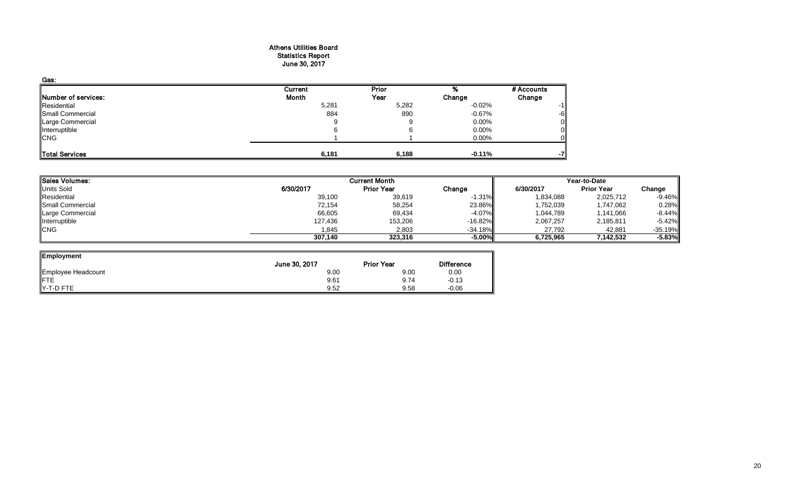## Athens Utilities Board Statistics Report June 30, 2017

| Gas:                |         |       |           |            |
|---------------------|---------|-------|-----------|------------|
|                     | Current | Prior |           | # Accounts |
| Number of services: | Month   | Year  | Change    | Change     |
| Residential         | 5,281   | 5,282 | $-0.02\%$ | $-1$       |
| Small Commercial    | 884     | 890   | $-0.67\%$ | -6         |
| Large Commercial    |         |       | $0.00\%$  |            |
| Interruptible       |         |       | $0.00\%$  |            |
| <b>CNG</b>          |         |       | 0.00%     |            |
|                     |         |       |           |            |
| Total Services      | 6,181   | 6,188 | $-0.11%$  | -7         |

| Sales Volumes:   |           | <b>Current Month</b> |           |           | Year-to-Date      |           |  |
|------------------|-----------|----------------------|-----------|-----------|-------------------|-----------|--|
| Units Sold       | 6/30/2017 | <b>Prior Year</b>    | Change    | 6/30/2017 | <b>Prior Year</b> | Change    |  |
| Residential      | 39,100    | 39,619               | $-1.31\%$ | 1,834,088 | 2,025,712         | $-9.46%$  |  |
| Small Commercial | 72,154    | 58,254               | 23.86%    | 1,752,039 | 1,747,062         | 0.28%     |  |
| Large Commercial | 66,605    | 69,434               | $-4.07\%$ | 1,044,789 | 1,141,066         | $-8.44%$  |  |
| Interruptible    | 127,436   | 153,206              | $-16.82%$ | 2,067,257 | 2,185,811         | $-5.42%$  |  |
| <b>CNG</b>       | 1.845     | 2.803                | $-34.18%$ | 27.792    | 42.881            | $-35.19%$ |  |
|                  | 307.140   | 323,316              | $-5.00\%$ | 6,725,965 | 7,142,532         | $-5.83%$  |  |

 $\overline{\phantom{a}}$ 

| Employment         |               |                   |                   |
|--------------------|---------------|-------------------|-------------------|
|                    | June 30, 2017 | <b>Prior Year</b> | <b>Difference</b> |
| Employee Headcount | 9.00          | 9.00              | 0.00              |
| <b>IFTE</b>        | 9.61          | 9.74              | $-0.13$           |
| Y-T-D FTE          | 9.52          | 9.58              | $-0.06$           |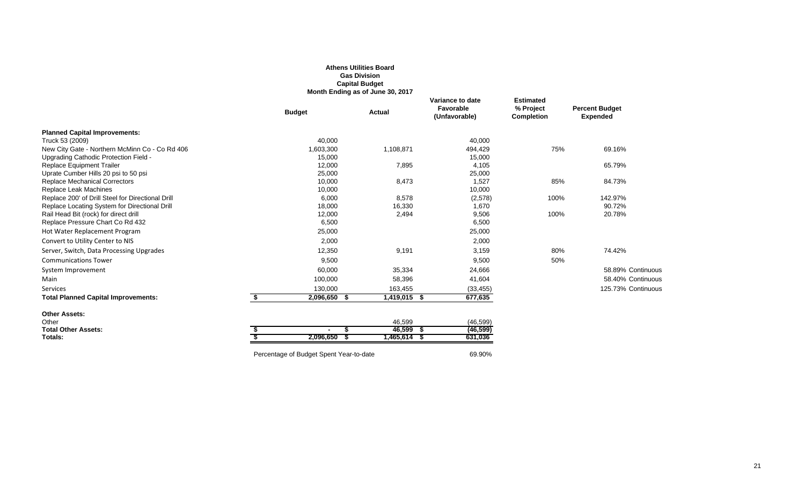|                                                                            |                                         | <b>Gas Division</b><br><b>Capital Budget</b><br>Month Ending as of June 30, 2017 |                                                |                                                    |                                          |
|----------------------------------------------------------------------------|-----------------------------------------|----------------------------------------------------------------------------------|------------------------------------------------|----------------------------------------------------|------------------------------------------|
|                                                                            | <b>Budget</b>                           | <b>Actual</b>                                                                    | Variance to date<br>Favorable<br>(Unfavorable) | <b>Estimated</b><br>% Project<br><b>Completion</b> | <b>Percent Budget</b><br><b>Expended</b> |
| <b>Planned Capital Improvements:</b>                                       |                                         |                                                                                  |                                                |                                                    |                                          |
| Truck 53 (2009)                                                            | 40,000                                  |                                                                                  | 40,000                                         |                                                    |                                          |
| New City Gate - Northern McMinn Co - Co Rd 406                             | 1,603,300                               | 1,108,871                                                                        | 494,429                                        | 75%                                                | 69.16%                                   |
| Upgrading Cathodic Protection Field -                                      | 15,000                                  |                                                                                  | 15,000                                         |                                                    |                                          |
| <b>Replace Equipment Trailer</b>                                           | 12,000                                  | 7,895                                                                            | 4,105                                          |                                                    | 65.79%                                   |
| Uprate Cumber Hills 20 psi to 50 psi                                       | 25,000                                  |                                                                                  | 25,000                                         |                                                    |                                          |
| <b>Replace Mechanical Correctors</b>                                       | 10,000                                  | 8,473                                                                            | 1,527                                          | 85%                                                | 84.73%                                   |
| Replace Leak Machines<br>Replace 200' of Drill Steel for Directional Drill | 10,000<br>6,000                         | 8,578                                                                            | 10,000                                         | 100%                                               | 142.97%                                  |
| Replace Locating System for Directional Drill                              | 18,000                                  | 16,330                                                                           | (2,578)<br>1,670                               |                                                    | 90.72%                                   |
| Rail Head Bit (rock) for direct drill                                      | 12,000                                  | 2,494                                                                            | 9,506                                          | 100%                                               | 20.78%                                   |
| Replace Pressure Chart Co Rd 432                                           | 6,500                                   |                                                                                  | 6,500                                          |                                                    |                                          |
| Hot Water Replacement Program                                              | 25,000                                  |                                                                                  | 25,000                                         |                                                    |                                          |
| Convert to Utility Center to NIS                                           | 2,000                                   |                                                                                  | 2,000                                          |                                                    |                                          |
| Server, Switch, Data Processing Upgrades                                   | 12,350                                  | 9,191                                                                            | 3,159                                          | 80%                                                | 74.42%                                   |
| <b>Communications Tower</b>                                                | 9,500                                   |                                                                                  | 9,500                                          | 50%                                                |                                          |
| System Improvement                                                         | 60,000                                  | 35,334                                                                           | 24,666                                         |                                                    | 58.89% Continuous                        |
| Main                                                                       | 100,000                                 | 58,396                                                                           | 41,604                                         |                                                    | 58.40% Continuous                        |
| Services                                                                   | 130,000                                 | 163,455                                                                          | (33, 455)                                      |                                                    | 125.73% Continuous                       |
| <b>Total Planned Capital Improvements:</b>                                 | \$<br>2,096,650 \$                      | 1,419,015 \$                                                                     | 677,635                                        |                                                    |                                          |
| <b>Other Assets:</b>                                                       |                                         |                                                                                  |                                                |                                                    |                                          |
| Other                                                                      |                                         | 46,599                                                                           | (46, 599)                                      |                                                    |                                          |
| <b>Total Other Assets:</b>                                                 |                                         | 46,599                                                                           | (46, 599)<br>- 56                              |                                                    |                                          |
| Totals:                                                                    | $2,096,650$ \$                          | $1,465,614$ \$                                                                   | 631,036                                        |                                                    |                                          |
|                                                                            | Percentage of Budget Spent Year-to-date |                                                                                  | 69.90%                                         |                                                    |                                          |

**Athens Utilities Board**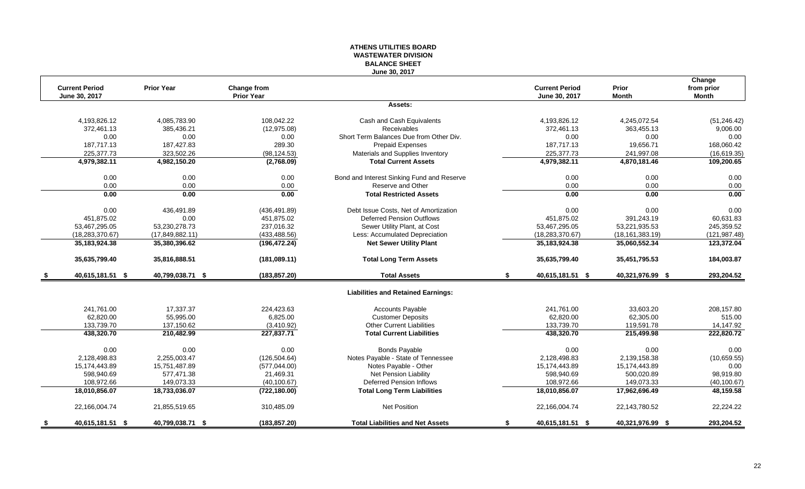### **ATHENS UTILITIES BOARD WASTEWATER DIVISION BALANCE SHEET June 30, 2017**

|                        |                   |                                         |                                            |    |                       |                              | Change        |
|------------------------|-------------------|-----------------------------------------|--------------------------------------------|----|-----------------------|------------------------------|---------------|
| <b>Current Period</b>  | <b>Prior Year</b> | <b>Change from</b><br><b>Prior Year</b> |                                            |    | <b>Current Period</b> | <b>Prior</b><br><b>Month</b> | from prior    |
| June 30, 2017          |                   |                                         | Assets:                                    |    | June 30, 2017         |                              | <b>Month</b>  |
|                        |                   |                                         |                                            |    |                       |                              |               |
| 4,193,826.12           | 4,085,783.90      | 108,042.22                              | Cash and Cash Equivalents                  |    | 4,193,826.12          | 4,245,072.54                 | (51, 246.42)  |
| 372,461.13             | 385,436.21        | (12, 975.08)                            | Receivables                                |    | 372,461.13            | 363,455.13                   | 9,006.00      |
| 0.00                   | 0.00              | 0.00                                    | Short Term Balances Due from Other Div.    |    | 0.00                  | 0.00                         | 0.00          |
| 187,717.13             | 187,427.83        | 289.30                                  | Prepaid Expenses                           |    | 187,717.13            | 19,656.71                    | 168,060.42    |
| 225,377.73             | 323,502.26        | (98, 124.53)                            | Materials and Supplies Inventory           |    | 225,377.73            | 241,997.08                   | (16, 619.35)  |
| 4,979,382.11           | 4,982,150.20      | (2,768.09)                              | <b>Total Current Assets</b>                |    | 4,979,382.11          | 4,870,181.46                 | 109,200.65    |
| 0.00                   | 0.00              | 0.00                                    | Bond and Interest Sinking Fund and Reserve |    | 0.00                  | 0.00                         | 0.00          |
| 0.00                   | 0.00              | 0.00                                    | Reserve and Other                          |    | 0.00                  | 0.00                         | 0.00          |
| 0.00                   | 0.00              | 0.00                                    | <b>Total Restricted Assets</b>             |    | 0.00                  | 0.00                         | 0.00          |
| 0.00                   | 436,491.89        | (436, 491.89)                           | Debt Issue Costs, Net of Amortization      |    | 0.00                  | 0.00                         | 0.00          |
| 451,875.02             | 0.00              | 451,875.02                              | <b>Deferred Pension Outflows</b>           |    | 451,875.02            | 391,243.19                   | 60,631.83     |
| 53,467,295.05          | 53,230,278.73     | 237,016.32                              | Sewer Utility Plant, at Cost               |    | 53,467,295.05         | 53,221,935.53                | 245,359.52    |
| (18, 283, 370.67)      | (17,849,882.11)   | (433, 488.56)                           | Less: Accumulated Depreciation             |    | (18, 283, 370.67)     | (18, 161, 383.19)            | (121, 987.48) |
| 35, 183, 924. 38       | 35,380,396.62     | (196, 472.24)                           | <b>Net Sewer Utility Plant</b>             |    | 35, 183, 924. 38      | 35,060,552.34                | 123,372.04    |
| 35,635,799.40          | 35,816,888.51     | (181,089.11)                            | <b>Total Long Term Assets</b>              |    | 35,635,799.40         | 35,451,795.53                | 184,003.87    |
| 40,615,181.51 \$       | 40,799,038.71 \$  | (183, 857.20)                           | <b>Total Assets</b>                        | S. | 40,615,181.51 \$      | 40,321,976.99 \$             | 293,204.52    |
|                        |                   |                                         | <b>Liabilities and Retained Earnings:</b>  |    |                       |                              |               |
| 241,761.00             | 17,337.37         | 224,423.63                              | <b>Accounts Payable</b>                    |    | 241,761.00            | 33,603.20                    | 208,157.80    |
| 62,820.00              | 55,995.00         | 6,825.00                                | <b>Customer Deposits</b>                   |    | 62,820.00             | 62,305.00                    | 515.00        |
| 133,739.70             | 137,150.62        | (3,410.92)                              | <b>Other Current Liabilities</b>           |    | 133,739.70            | 119,591.78                   | 14,147.92     |
| 438,320.70             | 210,482.99        | 227,837.71                              | <b>Total Current Liabilities</b>           |    | 438,320.70            | 215,499.98                   | 222,820.72    |
| 0.00                   | 0.00              | 0.00                                    | <b>Bonds Payable</b>                       |    | 0.00                  | 0.00                         | 0.00          |
| 2,128,498.83           | 2,255,003.47      | (126, 504.64)                           | Notes Payable - State of Tennessee         |    | 2,128,498.83          | 2,139,158.38                 | (10,659.55)   |
| 15,174,443.89          | 15,751,487.89     | (577, 044.00)                           | Notes Payable - Other                      |    | 15,174,443.89         | 15,174,443.89                | 0.00          |
| 598.940.69             | 577.471.38        | 21.469.31                               | <b>Net Pension Liability</b>               |    | 598.940.69            | 500.020.89                   | 98,919.80     |
| 108,972.66             | 149,073.33        | (40, 100.67)                            | <b>Deferred Pension Inflows</b>            |    | 108,972.66            | 149,073.33                   | (40, 100.67)  |
| 18,010,856.07          | 18,733,036.07     | (722, 180.00)                           | <b>Total Long Term Liabilities</b>         |    | 18,010,856.07         | 17,962,696.49                | 48,159.58     |
| 22,166,004.74          | 21,855,519.65     | 310,485.09                              | <b>Net Position</b>                        |    | 22,166,004.74         | 22,143,780.52                | 22,224.22     |
| \$<br>40,615,181.51 \$ | 40,799,038.71 \$  | (183, 857.20)                           | <b>Total Liabilities and Net Assets</b>    | \$ | 40,615,181.51 \$      | 40,321,976.99 \$             | 293,204.52    |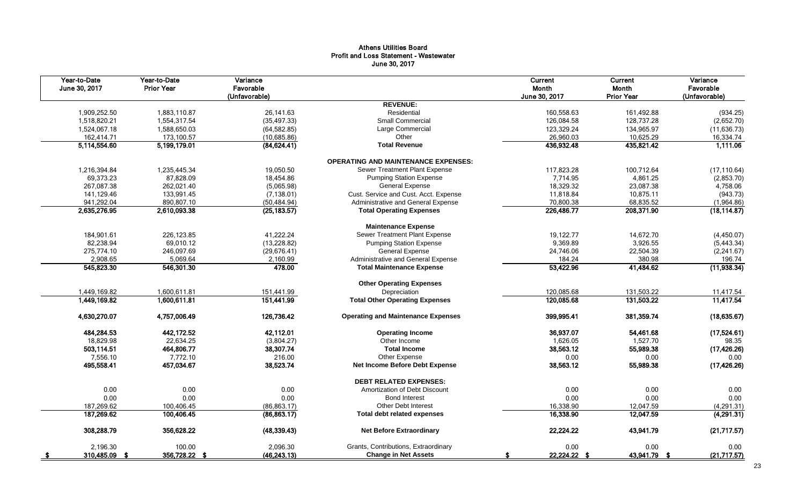## Athens Utilities Board Profit and Loss Statement - Wastewater June 30, 2017

| Year-to-Date<br>June 30, 2017 | Year-to-Date<br><b>Prior Year</b> | Variance<br>Favorable<br>(Unfavorable) |                                            | Current<br>Month<br>June 30, 2017 | Current<br>Month<br><b>Prior Year</b> | Variance<br>Favorable<br>(Unfavorable) |
|-------------------------------|-----------------------------------|----------------------------------------|--------------------------------------------|-----------------------------------|---------------------------------------|----------------------------------------|
|                               |                                   |                                        | <b>REVENUE:</b>                            |                                   |                                       |                                        |
| 1,909,252.50                  | 1,883,110.87                      | 26,141.63                              | Residential                                | 160,558.63                        | 161,492.88                            | (934.25)                               |
| 1,518,820.21                  | 1,554,317.54                      | (35, 497.33)                           | Small Commercial                           | 126,084.58                        | 128,737.28                            | (2,652.70)                             |
| 1,524,067.18                  | 1,588,650.03                      | (64, 582.85)                           | Large Commercial                           | 123,329.24                        | 134,965.97                            | (11, 636.73)                           |
| 162,414.71                    | 173,100.57                        | (10,685.86)                            | Other                                      | 26,960.03                         | 10,625.29                             | 16,334.74                              |
| 5,114,554.60                  | 5,199,179.01                      | (84, 624.41)                           | <b>Total Revenue</b>                       | 436,932.48                        | 435,821.42                            | 1,111.06                               |
|                               |                                   |                                        | <b>OPERATING AND MAINTENANCE EXPENSES:</b> |                                   |                                       |                                        |
| 1,216,394.84                  | 1,235,445.34                      | 19,050.50                              | Sewer Treatment Plant Expense              | 117,823.28                        | 100,712.64                            | (17, 110.64)                           |
| 69,373.23                     | 87,828.09                         | 18,454.86                              | <b>Pumping Station Expense</b>             | 7,714.95                          | 4,861.25                              | (2,853.70)                             |
| 267,087.38                    | 262,021.40                        | (5,065.98)                             | General Expense                            | 18,329.32                         | 23,087.38                             | 4,758.06                               |
| 141,129.46                    | 133,991.45                        | (7, 138.01)                            | Cust. Service and Cust. Acct. Expense      | 11,818.84                         | 10,875.11                             | (943.73)                               |
| 941,292.04                    | 890,807.10                        | (50, 484.94)                           | Administrative and General Expense         | 70,800.38                         | 68,835.52                             | (1,964.86)                             |
| 2,635,276.95                  | 2,610,093.38                      | (25, 183.57)                           | <b>Total Operating Expenses</b>            | 226,486.77                        | 208,371.90                            | (18, 114.87)                           |
|                               |                                   |                                        | <b>Maintenance Expense</b>                 |                                   |                                       |                                        |
| 184.901.61                    | 226,123.85                        | 41.222.24                              | Sewer Treatment Plant Expense              | 19.122.77                         | 14.672.70                             | (4,450.07)                             |
| 82,238.94                     | 69,010.12                         | (13, 228.82)                           | <b>Pumping Station Expense</b>             | 9,369.89                          | 3,926.55                              | (5,443.34)                             |
| 275,774.10                    | 246,097.69                        | (29, 676.41)                           | <b>General Expense</b>                     | 24,746.06                         | 22,504.39                             | (2,241.67)                             |
| 2,908.65                      | 5,069.64                          | 2,160.99                               | Administrative and General Expense         | 184.24                            | 380.98                                | 196.74                                 |
| 545,823.30                    | 546,301.30                        | 478.00                                 | <b>Total Maintenance Expense</b>           | 53,422.96                         | 41,484.62                             | (11,938.34)                            |
|                               |                                   |                                        | <b>Other Operating Expenses</b>            |                                   |                                       |                                        |
| 1,449,169.82                  | 1,600,611.81                      | 151,441.99                             | Depreciation                               | 120,085.68                        | 131,503.22                            | 11,417.54                              |
| 1,449,169.82                  | 1,600,611.81                      | 151,441.99                             | <b>Total Other Operating Expenses</b>      | 120,085.68                        | 131,503.22                            | 11,417.54                              |
| 4,630,270.07                  | 4,757,006.49                      | 126,736.42                             | <b>Operating and Maintenance Expenses</b>  | 399,995.41                        | 381,359.74                            | (18, 635.67)                           |
| 484,284.53                    | 442,172.52                        | 42,112.01                              | <b>Operating Income</b>                    | 36,937.07                         | 54,461.68                             | (17,524.61)                            |
| 18,829.98                     | 22,634.25                         | (3,804.27)                             | Other Income                               | 1,626.05                          | 1,527.70                              | 98.35                                  |
| 503,114.51                    | 464,806.77                        | 38,307.74                              | <b>Total Income</b>                        | 38,563.12                         | 55,989.38                             | (17, 426.26)                           |
| 7,556.10                      | 7,772.10                          | 216.00                                 | Other Expense                              | 0.00                              | 0.00                                  | 0.00                                   |
| 495,558.41                    | 457,034.67                        | 38,523.74                              | Net Income Before Debt Expense             | 38,563.12                         | 55,989.38                             | (17, 426.26)                           |
|                               |                                   |                                        | <b>DEBT RELATED EXPENSES:</b>              |                                   |                                       |                                        |
| 0.00                          | 0.00                              | 0.00                                   | Amortization of Debt Discount              | 0.00                              | 0.00                                  | 0.00                                   |
| 0.00                          | 0.00                              | 0.00                                   | <b>Bond Interest</b>                       | 0.00                              | 0.00                                  | 0.00                                   |
| 187,269.62                    | 100,406.45                        | (86, 863.17)                           | Other Debt Interest                        | 16,338.90                         | 12,047.59                             | (4, 291.31)                            |
| 187,269.62                    | 100,406.45                        | (86, 863.17)                           | <b>Total debt related expenses</b>         | 16,338.90                         | 12,047.59                             | (4,291.31)                             |
| 308,288.79                    | 356,628.22                        | (48, 339.43)                           | <b>Net Before Extraordinary</b>            | 22,224.22                         | 43,941.79                             | (21,717.57)                            |
| 2.196.30                      | 100.00                            | 2,096.30                               | Grants, Contributions, Extraordinary       | 0.00                              | 0.00                                  | 0.00                                   |
| 310,485.09 \$                 | 356,728.22 \$                     | (46, 243.13)                           | <b>Change in Net Assets</b>                | 22,224.22 \$                      | 43,941.79 \$                          | (21,717.57)                            |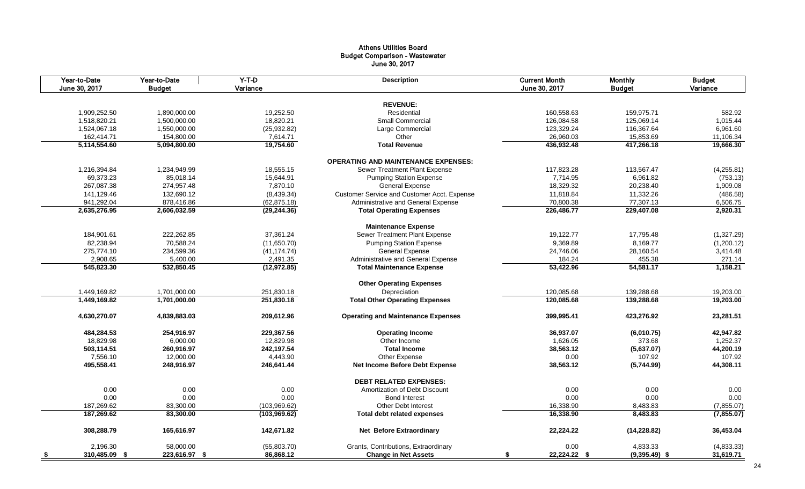#### Athens Utilities Board Budget Comparison - Wastewater June 30, 2017

|      | Year-to-Date<br>June 30, 2017 | Year-to-Date<br><b>Budget</b> | $Y-T-D$<br>Variance | <b>Description</b>                          | <b>Current Month</b><br>June 30, 2017 | <b>Monthly</b><br><b>Budget</b> | <b>Budget</b><br>Variance |
|------|-------------------------------|-------------------------------|---------------------|---------------------------------------------|---------------------------------------|---------------------------------|---------------------------|
|      |                               |                               |                     |                                             |                                       |                                 |                           |
|      |                               |                               |                     | <b>REVENUE:</b>                             |                                       |                                 |                           |
|      | 1,909,252.50                  | 1,890,000.00                  | 19,252.50           | Residential                                 | 160,558.63                            | 159,975.71                      | 582.92                    |
|      | 1,518,820.21                  | 1,500,000.00                  | 18,820.21           | <b>Small Commercial</b>                     | 126,084.58                            | 125,069.14                      | 1,015.44                  |
|      | 1,524,067.18                  | 1,550,000.00                  | (25, 932.82)        | Large Commercial                            | 123,329.24                            | 116,367.64                      | 6,961.60                  |
|      | 162,414.71                    | 154,800.00                    | 7,614.71            | Other                                       | 26,960.03                             | 15,853.69                       | 11,106.34                 |
|      | 5,114,554.60                  | 5,094,800.00                  | 19,754.60           | <b>Total Revenue</b>                        | 436,932.48                            | 417,266.18                      | 19,666.30                 |
|      |                               |                               |                     | <b>OPERATING AND MAINTENANCE EXPENSES:</b>  |                                       |                                 |                           |
|      | 1,216,394.84                  | 1,234,949.99                  | 18,555.15           | Sewer Treatment Plant Expense               | 117,823.28                            | 113,567.47                      | (4,255.81)                |
|      | 69,373.23                     | 85,018.14                     | 15,644.91           | <b>Pumping Station Expense</b>              | 7,714.95                              | 6,961.82                        | (753.13)                  |
|      | 267,087.38                    | 274,957.48                    | 7,870.10            | <b>General Expense</b>                      | 18,329.32                             | 20,238.40                       | 1,909.08                  |
|      | 141,129.46                    | 132,690.12                    | (8,439.34)          | Customer Service and Customer Acct. Expense | 11,818.84                             | 11,332.26                       | (486.58)                  |
|      | 941,292.04                    | 878,416.86                    | (62, 875.18)        | Administrative and General Expense          | 70,800.38                             | 77,307.13                       | 6,506.75                  |
|      | 2,635,276.95                  | 2,606,032.59                  | (29, 244.36)        | <b>Total Operating Expenses</b>             | 226,486.77                            | 229,407.08                      | 2,920.31                  |
|      |                               |                               |                     | <b>Maintenance Expense</b>                  |                                       |                                 |                           |
|      | 184,901.61                    | 222,262.85                    | 37,361.24           | Sewer Treatment Plant Expense               | 19,122.77                             | 17,795.48                       | (1,327.29)                |
|      | 82,238.94                     | 70,588.24                     | (11,650.70)         | <b>Pumping Station Expense</b>              | 9,369.89                              | 8,169.77                        | (1,200.12)                |
|      | 275,774.10                    | 234,599.36                    | (41, 174.74)        | <b>General Expense</b>                      | 24,746.06                             | 28,160.54                       | 3,414.48                  |
|      | 2,908.65                      | 5,400.00                      | 2,491.35            | Administrative and General Expense          | 184.24                                | 455.38                          | 271.14                    |
|      | 545,823.30                    | 532,850.45                    | (12, 972.85)        | <b>Total Maintenance Expense</b>            | 53,422.96                             | 54,581.17                       | 1,158.21                  |
|      |                               |                               |                     |                                             |                                       |                                 |                           |
|      |                               |                               |                     | <b>Other Operating Expenses</b>             |                                       |                                 |                           |
|      | 1,449,169.82                  | 1,701,000.00                  | 251,830.18          | Depreciation                                | 120,085.68                            | 139,288.68                      | 19,203.00                 |
|      | 1,449,169.82                  | 1,701,000.00                  | 251,830.18          | <b>Total Other Operating Expenses</b>       | 120,085.68                            | 139,288.68                      | 19,203.00                 |
|      | 4,630,270.07                  | 4,839,883.03                  | 209,612.96          | <b>Operating and Maintenance Expenses</b>   | 399,995.41                            | 423,276.92                      | 23,281.51                 |
|      | 484,284.53                    | 254,916.97                    | 229,367.56          | <b>Operating Income</b>                     | 36,937.07                             | (6,010.75)                      | 42,947.82                 |
|      | 18,829.98                     | 6,000.00                      | 12,829.98           | Other Income                                | 1,626.05                              | 373.68                          | 1,252.37                  |
|      | 503,114.51                    | 260,916.97                    | 242,197.54          | <b>Total Income</b>                         | 38,563.12                             | (5,637.07)                      | 44,200.19                 |
|      | 7,556.10                      | 12,000.00                     | 4,443.90            | Other Expense                               | 0.00                                  | 107.92                          | 107.92                    |
|      | 495,558.41                    | 248,916.97                    | 246,641.44          | Net Income Before Debt Expense              | 38,563.12                             | (5,744.99)                      | 44,308.11                 |
|      |                               |                               |                     | <b>DEBT RELATED EXPENSES:</b>               |                                       |                                 |                           |
|      | 0.00                          | 0.00                          | 0.00                | Amortization of Debt Discount               | 0.00                                  | 0.00                            | 0.00                      |
|      | 0.00                          | 0.00                          | 0.00                | <b>Bond Interest</b>                        | 0.00                                  | 0.00                            | 0.00                      |
|      | 187,269.62                    | 83,300.00                     | (103, 969.62)       | <b>Other Debt Interest</b>                  | 16,338.90                             | 8,483.83                        | (7, 855.07)               |
|      | 187,269.62                    | 83,300.00                     | (103,969.62)        | <b>Total debt related expenses</b>          | 16,338.90                             | 8,483.83                        | (7, 855.07)               |
|      |                               |                               |                     |                                             |                                       |                                 |                           |
|      | 308,288.79                    | 165,616.97                    | 142,671.82          | <b>Net Before Extraordinary</b>             | 22,224.22                             | (14, 228.82)                    | 36,453.04                 |
|      | 2,196.30                      | 58,000.00                     | (55,803.70)         | Grants, Contributions, Extraordinary        | 0.00                                  | 4,833.33                        | (4,833.33)                |
| - \$ | 310,485.09 \$                 | 223,616.97 \$                 | 86,868.12           | <b>Change in Net Assets</b>                 | 22,224.22 \$<br>\$                    | $(9,395.49)$ \$                 | 31,619.71                 |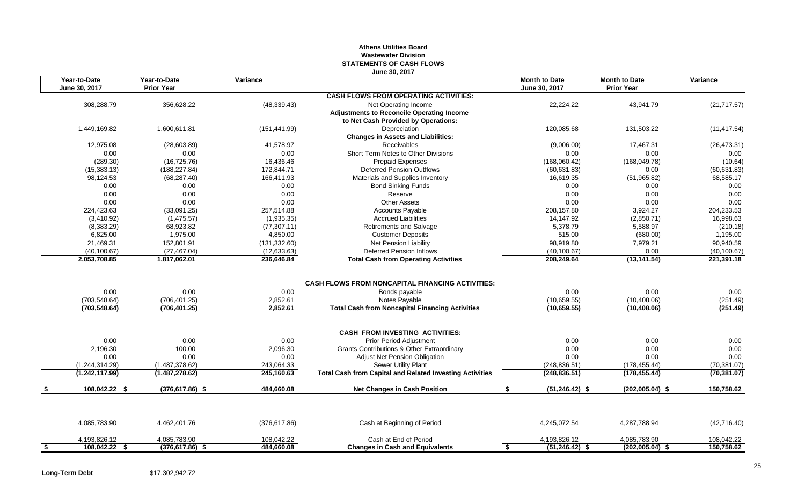## **Athens Utilities Board Wastewater Division STATEMENTS OF CASH FLOWS June 30, 2017**

|           | Year-to-Date<br>June 30, 2017  | Year-to-Date<br><b>Prior Year</b> | Variance                   |                                                                          | <b>Month to Date</b><br>June 30, 2017 | <b>Month to Date</b><br><b>Prior Year</b> | Variance             |
|-----------|--------------------------------|-----------------------------------|----------------------------|--------------------------------------------------------------------------|---------------------------------------|-------------------------------------------|----------------------|
|           |                                |                                   |                            | <b>CASH FLOWS FROM OPERATING ACTIVITIES:</b>                             |                                       |                                           |                      |
|           | 308,288.79                     | 356,628.22                        | (48, 339.43)               | Net Operating Income<br><b>Adjustments to Reconcile Operating Income</b> | 22,224.22                             | 43,941.79                                 | (21, 717.57)         |
|           |                                |                                   |                            | to Net Cash Provided by Operations:                                      |                                       |                                           |                      |
|           | 1,449,169.82                   | 1.600.611.81                      | (151, 441.99)              | Depreciation<br><b>Changes in Assets and Liabilities:</b>                | 120.085.68                            | 131,503.22                                | (11, 417.54)         |
|           | 12,975.08                      | (28,603.89)                       | 41,578.97                  | <b>Receivables</b>                                                       | (9,006.00)                            | 17,467.31                                 | (26, 473.31)         |
|           | 0.00                           | 0.00                              | 0.00                       | Short Term Notes to Other Divisions                                      | 0.00                                  | 0.00                                      | 0.00                 |
|           | (289.30)                       | (16, 725.76)                      | 16,436.46                  | <b>Prepaid Expenses</b>                                                  | (168,060.42)                          | (168, 049.78)                             | (10.64)              |
|           | (15, 383.13)                   | (188, 227.84)                     | 172,844.71                 | Deferred Pension Outflows                                                | (60, 631.83)                          | 0.00                                      | (60, 631.83)         |
|           | 98,124.53                      | (68, 287.40)                      | 166,411.93                 | Materials and Supplies Inventory                                         | 16,619.35                             | (51,965.82)                               | 68,585.17            |
|           | 0.00                           | 0.00                              | 0.00                       | <b>Bond Sinking Funds</b>                                                | 0.00                                  | 0.00                                      | 0.00                 |
|           | 0.00                           | 0.00                              | 0.00                       | Reserve                                                                  | 0.00                                  | 0.00                                      | 0.00                 |
|           | 0.00                           | 0.00                              | 0.00                       | <b>Other Assets</b>                                                      | 0.00                                  | 0.00                                      | 0.00                 |
|           | 224,423.63                     | (33,091.25)                       | 257,514.88                 | <b>Accounts Payable</b>                                                  | 208,157.80                            | 3,924.27                                  | 204,233.53           |
|           | (3,410.92)                     | (1,475.57)                        | (1,935.35)                 | <b>Accrued Liabilities</b>                                               | 14,147.92                             | (2,850.71)                                | 16,998.63            |
|           | (8,383.29)                     | 68,923.82                         | (77, 307.11)               | <b>Retirements and Salvage</b>                                           | 5,378.79                              | 5,588.97                                  | (210.18)             |
|           | 6,825.00                       | 1,975.00                          | 4,850.00                   | <b>Customer Deposits</b>                                                 | 515.00                                | (680.00)                                  | 1,195.00             |
|           | 21,469.31                      | 152,801.91                        | (131, 332.60)              | Net Pension Liability                                                    | 98,919.80                             | 7,979.21                                  | 90,940.59            |
|           | (40, 100.67)                   | (27, 467.04)<br>1,817,062.01      | (12, 633.63)<br>236,646.84 | <b>Deferred Pension Inflows</b>                                          | (40, 100.67)                          | 0.00                                      | (40, 100.67)         |
|           | 2,053,708.85                   |                                   |                            | <b>Total Cash from Operating Activities</b>                              | 208,249.64                            | (13, 141.54)                              | 221,391.18           |
|           |                                |                                   |                            | <b>CASH FLOWS FROM NONCAPITAL FINANCING ACTIVITIES:</b>                  |                                       |                                           |                      |
|           | 0.00                           | 0.00                              | 0.00                       | Bonds payable                                                            | 0.00                                  | 0.00                                      | 0.00                 |
|           | (703, 548.64)<br>(703, 548.64) | (706.401.25)<br>(706, 401.25)     | 2,852.61<br>2,852.61       | Notes Payable<br><b>Total Cash from Noncapital Financing Activities</b>  | (10,659.55)<br>(10,659.55)            | (10, 408.06)<br>(10, 408.06)              | (251.49)<br>(251.49) |
|           |                                |                                   |                            |                                                                          |                                       |                                           |                      |
|           |                                |                                   |                            | <b>CASH FROM INVESTING ACTIVITIES:</b>                                   |                                       |                                           |                      |
|           | 0.00                           | 0.00                              | 0.00                       | Prior Period Adjustment                                                  | 0.00                                  | 0.00                                      | 0.00                 |
|           | 2,196.30                       | 100.00                            | 2,096.30                   | Grants Contributions & Other Extraordinary                               | 0.00                                  | 0.00                                      | 0.00                 |
|           | 0.00                           | 0.00                              | 0.00                       | Adjust Net Pension Obligation                                            | 0.00                                  | 0.00                                      | 0.00                 |
|           | (1,244,314.29)                 | (1,487,378.62)                    | 243,064.33                 | Sewer Utility Plant                                                      | (248, 836.51)                         | (178, 455.44)                             | (70, 381.07)         |
|           | (1,242,117.99)                 | (1,487,278.62)                    | 245,160.63                 | <b>Total Cash from Capital and Related Investing Activities</b>          | (248, 836.51)                         | (178, 455.44)                             | (70, 381.07)         |
|           | 108,042.22 \$                  | $(376, 617.86)$ \$                | 484,660.08                 | <b>Net Changes in Cash Position</b>                                      | $(51, 246.42)$ \$<br>\$               | $(202,005.04)$ \$                         | 150,758.62           |
|           |                                |                                   |                            |                                                                          |                                       |                                           |                      |
|           | 4,085,783.90                   | 4,462,401.76                      | (376, 617.86)              | Cash at Beginning of Period                                              | 4,245,072.54                          | 4,287,788.94                              | (42,716.40)          |
|           | 4,193,826.12                   | 4,085,783.90                      | 108,042.22                 | Cash at End of Period                                                    | 4,193,826.12                          | 4,085,783.90                              | 108,042.22           |
| <u>\$</u> | 108,042.22 \$                  | $(376, 617.86)$ \$                | 484,660.08                 | <b>Changes in Cash and Equivalents</b>                                   | $(51, 246.42)$ \$                     | $(202,005.04)$ \$                         | 150,758.62           |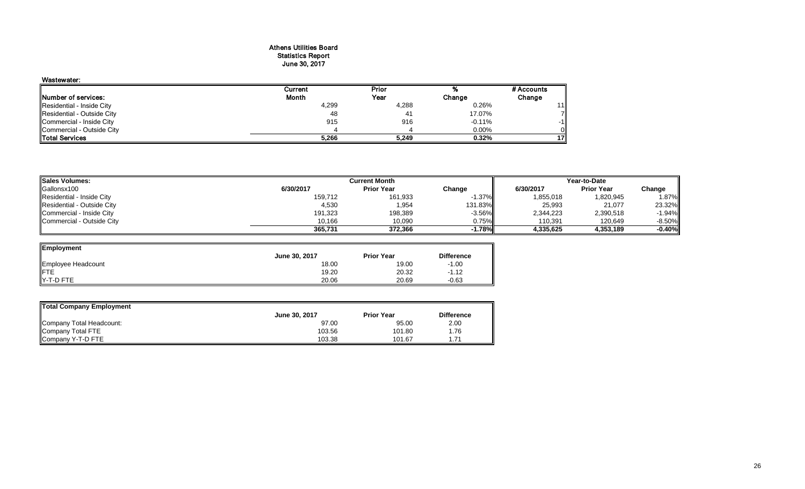## Athens Utilities Board Statistics Report June 30, 2017

| Wastewater:                |         |       |          |            |
|----------------------------|---------|-------|----------|------------|
|                            | Current | Prior |          | # Accounts |
| Number of services:        | Month   | Year  | Change   | Change     |
| Residential - Inside City  | 4,299   | 4,288 | 0.26%    | 11         |
| Residential - Outside City | 48      | 41    | 17.07%   |            |
| Commercial - Inside City   | 915     | 916   | $-0.11%$ | -11        |
| Commercial - Outside City  |         |       | $0.00\%$ |            |
| <b>Total Services</b>      | 5,266   | 5,249 | 0.32%    | 171        |

| <b>Sales Volumes:</b>      | <b>Current Month</b> |                   |           | Year-to-Date |                   |          |
|----------------------------|----------------------|-------------------|-----------|--------------|-------------------|----------|
| Gallonsx100                | 6/30/2017            | <b>Prior Year</b> | Change    | 6/30/2017    | <b>Prior Year</b> | Change   |
| Residential - Inside City  | 159,712              | 161,933           | $-1.37\%$ | 1,855,018    | 1,820,945         | 1.87%    |
| Residential - Outside City | 4,530                | 1,954             | 131.83%   | 25,993       | 21,077            | 23.32%   |
| Commercial - Inside City   | 191,323              | 198,389           | $-3.56\%$ | 2,344,223    | 2,390,518         | $-1.94%$ |
| Commercial - Outside City  | 10,166               | 10,090            | 0.75%     | 110,391      | 120,649           | $-8.50%$ |
|                            | 365,731              | 372.366           | $-1.78\%$ | 4.335.625    | 4.353.189         | $-0.40%$ |

 $\overline{\phantom{0}}$ 

| Employment         |               |                   |                   |
|--------------------|---------------|-------------------|-------------------|
|                    | June 30, 2017 | <b>Prior Year</b> | <b>Difference</b> |
| Employee Headcount | 18.00         | 19.00             | $-1.00$           |
| FTE                | 19.20         | 20.32             | $-1.12$           |
| Y-T-D FTE          | 20.06         | 20.69             | $-0.63$           |

| Total Company Employment |               |                   |                   |  |  |  |  |  |
|--------------------------|---------------|-------------------|-------------------|--|--|--|--|--|
|                          | June 30, 2017 | <b>Prior Year</b> | <b>Difference</b> |  |  |  |  |  |
| Company Total Headcount: | 97.00         | 95.00             | 2.00              |  |  |  |  |  |
| Company Total FTE        | 103.56        | 101.80            | ،76.              |  |  |  |  |  |
| Company Y-T-D FTE        | 103.38        | 101.67            | .71               |  |  |  |  |  |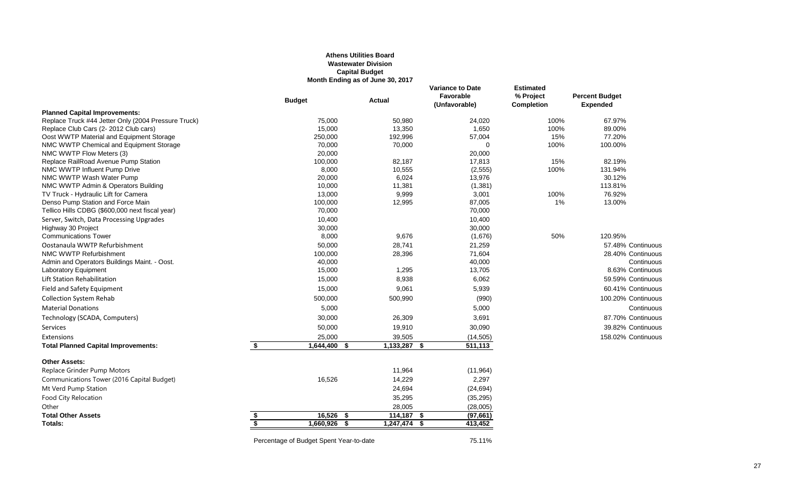## **Athens Utilities Board Wastewater Division Capital Budget Month Ending as of June 30, 2017**

|                                                                             | <b>Budget</b>                            | <b>Actual</b>        | <b>Variance to Date</b><br>Favorable<br>(Unfavorable) | <b>Estimated</b><br>% Project<br><b>Completion</b> | <b>Percent Budget</b><br><b>Expended</b> |
|-----------------------------------------------------------------------------|------------------------------------------|----------------------|-------------------------------------------------------|----------------------------------------------------|------------------------------------------|
| <b>Planned Capital Improvements:</b>                                        |                                          |                      |                                                       |                                                    |                                          |
| Replace Truck #44 Jetter Only (2004 Pressure Truck)                         | 75,000                                   | 50,980               | 24,020                                                | 100%                                               | 67.97%                                   |
| Replace Club Cars (2-2012 Club cars)                                        | 15,000                                   | 13,350               | 1,650                                                 | 100%                                               | 89.00%                                   |
| Oost WWTP Material and Equipment Storage                                    | 250,000                                  | 192,996              | 57,004                                                | 15%                                                | 77.20%                                   |
| NMC WWTP Chemical and Equipment Storage                                     | 70.000                                   | 70,000               | $\Omega$                                              | 100%                                               | 100.00%                                  |
| NMC WWTP Flow Meters (3)                                                    | 20,000                                   |                      | 20,000                                                |                                                    |                                          |
| Replace RailRoad Avenue Pump Station                                        | 100,000                                  | 82,187               | 17,813                                                | 15%                                                | 82.19%                                   |
| NMC WWTP Influent Pump Drive                                                | 8,000                                    | 10,555               | (2, 555)                                              | 100%                                               | 131.94%                                  |
| NMC WWTP Wash Water Pump                                                    | 20,000                                   | 6,024                | 13,976                                                |                                                    | 30.12%                                   |
| NMC WWTP Admin & Operators Building                                         | 10,000                                   | 11,381               | (1, 381)                                              |                                                    | 113.81%                                  |
| TV Truck - Hydraulic Lift for Camera                                        | 13,000                                   | 9,999                | 3,001                                                 | 100%                                               | 76.92%                                   |
| Denso Pump Station and Force Main                                           | 100,000                                  | 12,995               | 87,005                                                | 1%                                                 | 13.00%                                   |
| Tellico Hills CDBG (\$600,000 next fiscal year)                             | 70,000                                   |                      | 70,000                                                |                                                    |                                          |
| Server, Switch, Data Processing Upgrades                                    | 10,400                                   |                      | 10,400                                                |                                                    |                                          |
| Highway 30 Project<br><b>Communications Tower</b>                           | 30,000                                   |                      | 30,000                                                |                                                    |                                          |
|                                                                             | 8,000                                    | 9,676                | (1,676)                                               | 50%                                                | 120.95%                                  |
| Oostanaula WWTP Refurbishment                                               | 50,000                                   | 28,741               | 21,259                                                |                                                    | 57.48% Continuous                        |
| NMC WWTP Refurbishment                                                      | 100,000                                  | 28,396               | 71,604                                                |                                                    | 28.40% Continuous                        |
| Admin and Operators Buildings Maint. - Oost.<br><b>Laboratory Equipment</b> | 40,000<br>15,000                         | 1,295                | 40,000<br>13,705                                      |                                                    | Continuous<br>8.63% Continuous           |
|                                                                             |                                          |                      |                                                       |                                                    |                                          |
| Lift Station Rehabilitation                                                 | 15,000                                   | 8,938                | 6,062                                                 |                                                    | 59.59% Continuous                        |
| Field and Safety Equipment                                                  | 15,000                                   | 9,061                | 5,939                                                 |                                                    | 60.41% Continuous                        |
| <b>Collection System Rehab</b>                                              | 500,000                                  | 500,990              | (990)                                                 |                                                    | 100.20% Continuous                       |
| <b>Material Donations</b>                                                   | 5,000                                    |                      | 5,000                                                 |                                                    | Continuous                               |
| Technology (SCADA, Computers)                                               | 30,000                                   | 26,309               | 3,691                                                 |                                                    | 87.70% Continuous                        |
| <b>Services</b>                                                             | 50,000                                   | 19,910               | 30,090                                                |                                                    | 39.82% Continuous                        |
| Extensions                                                                  | 25,000                                   | 39,505               | (14, 505)                                             |                                                    | 158.02% Continuous                       |
| <b>Total Planned Capital Improvements:</b>                                  | \$<br>1,644,400                          | $1,133,287$ \$<br>\$ | 511,113                                               |                                                    |                                          |
| <b>Other Assets:</b>                                                        |                                          |                      |                                                       |                                                    |                                          |
| Replace Grinder Pump Motors                                                 |                                          | 11,964               | (11, 964)                                             |                                                    |                                          |
| Communications Tower (2016 Capital Budget)                                  | 16,526                                   | 14,229               | 2,297                                                 |                                                    |                                          |
| Mt Verd Pump Station                                                        |                                          | 24,694               | (24, 694)                                             |                                                    |                                          |
| Food City Relocation                                                        |                                          | 35,295               | (35, 295)                                             |                                                    |                                          |
| Other                                                                       |                                          | 28,005               | (28,005)                                              |                                                    |                                          |
| <b>Total Other Assets</b>                                                   | $16.526$ \$<br>\$                        | $114,187$ \$         | (97,661)                                              |                                                    |                                          |
| Totals:                                                                     | $\overline{\boldsymbol{s}}$<br>1,660,926 | \$<br>$1,247,474$ \$ | 413,452                                               |                                                    |                                          |
|                                                                             |                                          |                      |                                                       |                                                    |                                          |

Percentage of Budget Spent Year-to-date 75.11%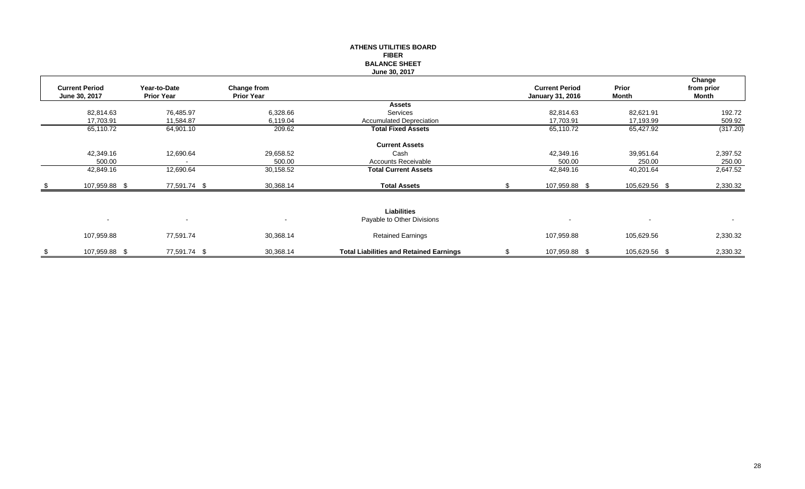## **ATHENS UTILITIES BOARD FIBER BALANCE SHEET June 30, 2017**

|                          |                   |                   |                                                |                          |                | Change         |
|--------------------------|-------------------|-------------------|------------------------------------------------|--------------------------|----------------|----------------|
| <b>Current Period</b>    | Year-to-Date      | Change from       |                                                | <b>Current Period</b>    | Prior          | from prior     |
| June 30, 2017            | <b>Prior Year</b> | <b>Prior Year</b> |                                                | <b>January 31, 2016</b>  | <b>Month</b>   | Month          |
|                          |                   |                   | <b>Assets</b>                                  |                          |                |                |
| 82,814.63                | 76,485.97         | 6,328.66          | Services                                       | 82,814.63                | 82,621.91      | 192.72         |
| 17,703.91                | 11,584.87         | 6,119.04          | Accumulated Depreciation                       | 17,703.91                | 17,193.99      | 509.92         |
| 65,110.72                | 64,901.10         | 209.62            | <b>Total Fixed Assets</b>                      | 65,110.72                | 65,427.92      | (317.20)       |
|                          |                   |                   | <b>Current Assets</b>                          |                          |                |                |
|                          |                   |                   |                                                |                          |                |                |
| 42,349.16                | 12,690.64         | 29,658.52         | Cash                                           | 42,349.16                | 39,951.64      | 2,397.52       |
| 500.00                   |                   | 500.00            | <b>Accounts Receivable</b>                     | 500.00                   | 250.00         | 250.00         |
| 42,849.16                | 12,690.64         | 30,158.52         | <b>Total Current Assets</b>                    | 42,849.16                | 40,201.64      | 2,647.52       |
| 107,959.88 \$            | 77,591.74 \$      | 30,368.14         | <b>Total Assets</b>                            | 107,959.88 \$            | 105,629.56 \$  | 2,330.32       |
|                          |                   |                   |                                                |                          |                |                |
|                          |                   |                   | Liabilities                                    |                          |                |                |
| $\overline{\phantom{a}}$ | $\sim$            | $\sim$            | Payable to Other Divisions                     | $\overline{\phantom{a}}$ | $\blacksquare$ | $\blacksquare$ |
|                          |                   |                   |                                                |                          |                |                |
| 107,959.88               | 77,591.74         | 30,368.14         | <b>Retained Earnings</b>                       | 107,959.88               | 105,629.56     | 2,330.32       |
| 107,959.88 \$            | 77,591.74 \$      | 30,368.14         | <b>Total Liabilities and Retained Earnings</b> | 107,959.88 \$            | 105,629.56 \$  | 2,330.32       |
|                          |                   |                   |                                                |                          |                |                |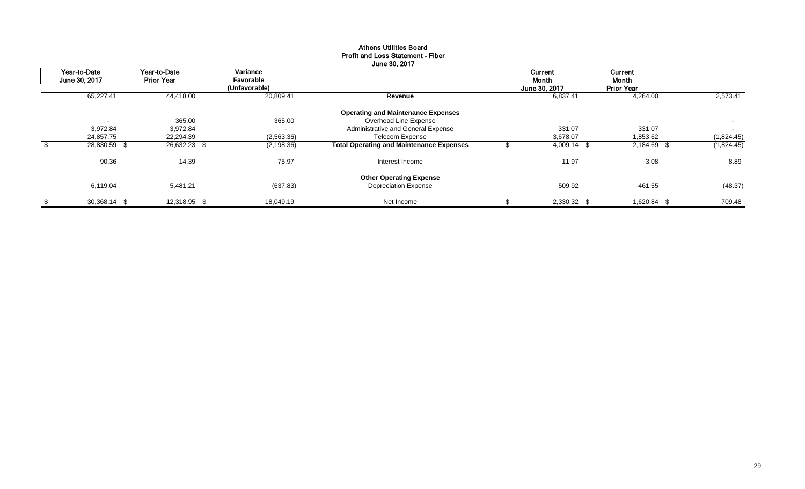|                               |                                   |                                        | June 30, 2017                                   |                                          |                                       |            |
|-------------------------------|-----------------------------------|----------------------------------------|-------------------------------------------------|------------------------------------------|---------------------------------------|------------|
| Year-to-Date<br>June 30, 2017 | Year-to-Date<br><b>Prior Year</b> | Variance<br>Favorable<br>(Unfavorable) |                                                 | Current<br><b>Month</b><br>June 30, 2017 | Current<br>Month<br><b>Prior Year</b> |            |
| 65,227.41                     | 44,418.00                         | 20,809.41                              | Revenue                                         | 6,837.41                                 | 4,264.00                              | 2.573.41   |
|                               |                                   |                                        | <b>Operating and Maintenance Expenses</b>       |                                          |                                       |            |
|                               | 365.00                            | 365.00                                 | Overhead Line Expense                           | $\overline{\phantom{a}}$                 | $\overline{\phantom{a}}$              | $\sim$     |
| 3,972.84                      | 3,972.84                          | $\overline{\phantom{a}}$               | Administrative and General Expense              | 331.07                                   | 331.07                                | $\sim$     |
| 24,857.75                     | 22,294.39                         | (2,563.36)                             | <b>Telecom Expense</b>                          | 3,678.07                                 | 1,853.62                              | (1,824.45) |
| 28,830.59 \$                  | 26,632.23 \$                      | (2, 198.36)                            | <b>Total Operating and Maintenance Expenses</b> | 4,009.14 \$                              | 2,184.69 \$                           | (1,824.45) |
| 90.36                         | 14.39                             | 75.97                                  | Interest Income                                 | 11.97                                    | 3.08                                  | 8.89       |
|                               |                                   |                                        | <b>Other Operating Expense</b>                  |                                          |                                       |            |
| 6,119.04                      | 5,481.21                          | (637.83)                               | <b>Depreciation Expense</b>                     | 509.92                                   | 461.55                                | (48.37)    |
| \$<br>30,368.14 \$            | 12,318.95 \$                      | 18.049.19                              | Net Income                                      | 2,330.32 \$                              | 1,620.84 \$                           | 709.48     |

## Athens Utilities Board Profit and Loss Statement - Fiber